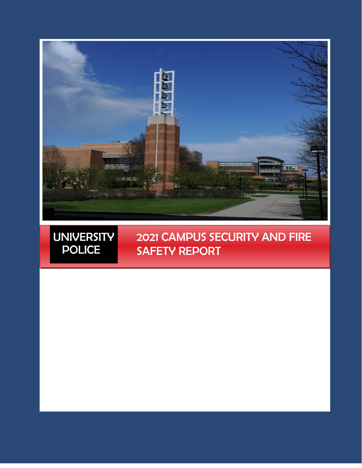

UNIVERSITY POLICE

# 2021 CAMPUS SECURITY AND FIRE SAFETY REPORT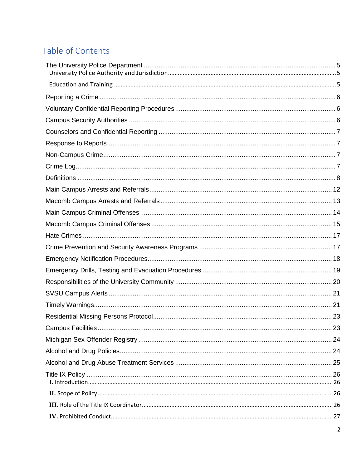# Table of Contents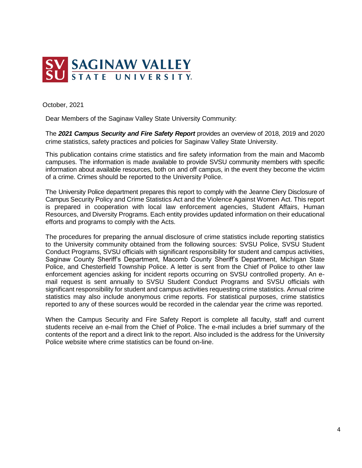

October, 2021

Dear Members of the Saginaw Valley State University Community:

The *2021 Campus Security and Fire Safety Report* provides an overview of 2018, 2019 and 2020 crime statistics, safety practices and policies for Saginaw Valley State University.

This publication contains crime statistics and fire safety information from the main and Macomb campuses. The information is made available to provide SVSU community members with specific information about available resources, both on and off campus, in the event they become the victim of a crime. Crimes should be reported to the University Police.

The University Police department prepares this report to comply with the Jeanne Clery Disclosure of Campus Security Policy and Crime Statistics Act and the Violence Against Women Act. This report is prepared in cooperation with local law enforcement agencies, Student Affairs, Human Resources, and Diversity Programs. Each entity provides updated information on their educational efforts and programs to comply with the Acts.

The procedures for preparing the annual disclosure of crime statistics include reporting statistics to the University community obtained from the following sources: SVSU Police, SVSU Student Conduct Programs, SVSU officials with significant responsibility for student and campus activities, Saginaw County Sheriff's Department, Macomb County Sheriff's Department, Michigan State Police, and Chesterfield Township Police. A letter is sent from the Chief of Police to other law enforcement agencies asking for incident reports occurring on SVSU controlled property. An email request is sent annually to SVSU Student Conduct Programs and SVSU officials with significant responsibility for student and campus activities requesting crime statistics. Annual crime statistics may also include anonymous crime reports. For statistical purposes, crime statistics reported to any of these sources would be recorded in the calendar year the crime was reported.

When the Campus Security and Fire Safety Report is complete all faculty, staff and current students receive an e-mail from the Chief of Police. The e-mail includes a brief summary of the contents of the report and a direct link to the report. Also included is the address for the University Police website where crime statistics can be found on-line.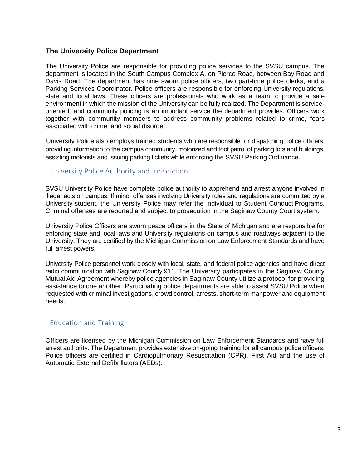#### <span id="page-4-0"></span>**The University Police Department**

The University Police are responsible for providing police services to the SVSU campus. The department is located in the South Campus Complex A, on Pierce Road, between Bay Road and Davis Road. The department has nine sworn police officers, two part-time police clerks, and a Parking Services Coordinator. Police officers are responsible for enforcing University regulations, state and local laws. These officers are professionals who work as a team to provide a safe environment in which the mission of the University can be fully realized. The Department is serviceoriented, and community policing is an important service the department provides. Officers work together with community members to address community problems related to crime, fears associated with crime, and social disorder.

University Police also employs trained students who are responsible for dispatching police officers, providing information to the campus community, motorized and foot patrol of parking lots and buildings, assisting motorists and issuing parking tickets while enforcing the SVSU Parking Ordinance.

#### <span id="page-4-1"></span>University Police Authority and Jurisdiction

SVSU University Police have complete police authority to apprehend and arrest anyone involved in illegal acts on campus. If minor offenses involving University rules and regulations are committed by a University student, the University Police may refer the individual to Student Conduct Programs. Criminal offenses are reported and subject to prosecution in the Saginaw County Court system.

University Police Officers are sworn peace officers in the State of Michigan and are responsible for enforcing state and local laws and University regulations on campus and roadways adjacent to the University. They are certified by the Michigan Commission on Law Enforcement Standards and have full arrest powers.

University Police personnel work closely with local, state, and federal police agencies and have direct radio communication with Saginaw County 911. The University participates in the Saginaw County Mutual Aid Agreement whereby police agencies in Saginaw County utilize a protocol for providing assistance to one another. Participating police departments are able to assist SVSU Police when requested with criminal investigations, crowd control, arrests, short-term manpower and equipment needs.

#### <span id="page-4-2"></span>Education and Training

Officers are licensed by the Michigan Commission on Law Enforcement Standards and have full arrest authority. The Department provides extensive on-going training for all campus police officers. Police officers are certified in Cardiopulmonary Resuscitation (CPR), First Aid and the use of Automatic External Defibrillators (AEDs).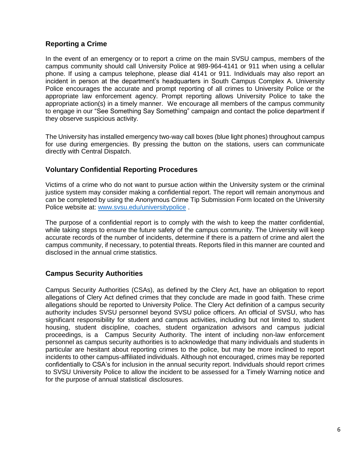# <span id="page-5-0"></span>**Reporting a Crime**

In the event of an emergency or to report a crime on the main SVSU campus, members of the campus community should call University Police at 989-964-4141 or 911 when using a cellular phone. If using a campus telephone, please dial 4141 or 911. Individuals may also report an incident in person at the department's headquarters in South Campus Complex A. University Police encourages the accurate and prompt reporting of all crimes to University Police or the appropriate law enforcement agency. Prompt reporting allows University Police to take the appropriate action(s) in a timely manner. We encourage all members of the campus community to engage in our "See Something Say Something" campaign and contact the police department if they observe suspicious activity.

The University has installed emergency two-way call boxes (blue light phones) throughout campus for use during emergencies. By pressing the button on the stations, users can communicate directly with Central Dispatch.

## <span id="page-5-1"></span>**Voluntary Confidential Reporting Procedures**

Victims of a crime who do not want to pursue action within the University system or the criminal justice system may consider making a confidential report. The report will remain anonymous and can be completed by using the Anonymous Crime Tip Submission Form located on the University Police website at: [www.svsu.edu/universitypolice](http://www.svsu.edu/universitypolice) .

The purpose of a confidential report is to comply with the wish to keep the matter confidential, while taking steps to ensure the future safety of the campus community. The University will keep accurate records of the number of incidents, determine if there is a pattern of crime and alert the campus community, if necessary, to potential threats. Reports filed in this manner are counted and disclosed in the annual crime statistics.

## <span id="page-5-2"></span>**Campus Security Authorities**

Campus Security Authorities (CSAs), as defined by the Clery Act, have an obligation to report allegations of Clery Act defined crimes that they conclude are made in good faith. These crime allegations should be reported to University Police. The Clery Act definition of a campus security authority includes SVSU personnel beyond SVSU police officers. An official of SVSU, who has significant responsibility for student and campus activities, including but not limited to, student housing, student discipline, coaches, student organization advisors and campus judicial proceedings, is a Campus Security Authority. The intent of including non-law enforcement personnel as campus security authorities is to acknowledge that many individuals and students in particular are hesitant about reporting crimes to the police, but may be more inclined to report incidents to other campus-affiliated individuals. Although not encouraged, crimes may be reported confidentially to CSA's for inclusion in the annual security report. Individuals should report crimes to SVSU University Police to allow the incident to be assessed for a Timely Warning notice and for the purpose of annual statistical disclosures.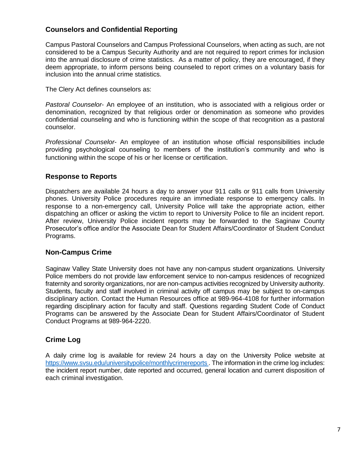## <span id="page-6-0"></span>**Counselors and Confidential Reporting**

Campus Pastoral Counselors and Campus Professional Counselors, when acting as such, are not considered to be a Campus Security Authority and are not required to report crimes for inclusion into the annual disclosure of crime statistics. As a matter of policy, they are encouraged, if they deem appropriate, to inform persons being counseled to report crimes on a voluntary basis for inclusion into the annual crime statistics.

The Clery Act defines counselors as:

*Pastoral Counselor*- An employee of an institution, who is associated with a religious order or denomination, recognized by that religious order or denomination as someone who provides confidential counseling and who is functioning within the scope of that recognition as a pastoral counselor.

*Professional Counselor*- An employee of an institution whose official responsibilities include providing psychological counseling to members of the institution's community and who is functioning within the scope of his or her license or certification.

#### <span id="page-6-1"></span>**Response to Reports**

Dispatchers are available 24 hours a day to answer your 911 calls or 911 calls from University phones. University Police procedures require an immediate response to emergency calls. In response to a non-emergency call, University Police will take the appropriate action, either dispatching an officer or asking the victim to report to University Police to file an incident report. After review, University Police incident reports may be forwarded to the Saginaw County Prosecutor's office and/or the Associate Dean for Student Affairs/Coordinator of Student Conduct Programs.

#### <span id="page-6-2"></span>**Non-Campus Crime**

Saginaw Valley State University does not have any non-campus student organizations. University Police members do not provide law enforcement service to non-campus residences of recognized fraternity and sorority organizations, nor are non-campus activities recognized by University authority. Students, faculty and staff involved in criminal activity off campus may be subject to on-campus disciplinary action. Contact the Human Resources office at 989-964-4108 for further information regarding disciplinary action for faculty and staff. Questions regarding Student Code of Conduct Programs can be answered by the Associate Dean for Student Affairs/Coordinator of Student Conduct Programs at 989-964-2220.

## <span id="page-6-3"></span>**Crime Log**

A daily crime log is available for review 24 hours a day on the University Police website at [https://www.svsu.edu/universitypolice/monthlycrimereports .](https://www.svsu.edu/universitypolice/monthlycrimereports) The information in the crime log includes: the incident report number, date reported and occurred, general location and current disposition of each criminal investigation.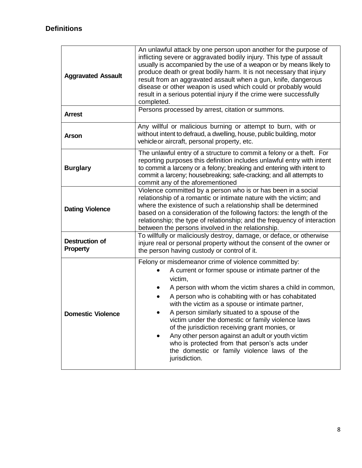<span id="page-7-0"></span>

| <b>Aggravated Assault</b>                | An unlawful attack by one person upon another for the purpose of<br>inflicting severe or aggravated bodily injury. This type of assault<br>usually is accompanied by the use of a weapon or by means likely to<br>produce death or great bodily harm. It is not necessary that injury<br>result from an aggravated assault when a gun, knife, dangerous<br>disease or other weapon is used which could or probably would<br>result in a serious potential injury if the crime were successfully<br>completed.                                                                                                                  |
|------------------------------------------|--------------------------------------------------------------------------------------------------------------------------------------------------------------------------------------------------------------------------------------------------------------------------------------------------------------------------------------------------------------------------------------------------------------------------------------------------------------------------------------------------------------------------------------------------------------------------------------------------------------------------------|
| <b>Arrest</b>                            | Persons processed by arrest, citation or summons.                                                                                                                                                                                                                                                                                                                                                                                                                                                                                                                                                                              |
| <b>Arson</b>                             | Any willful or malicious burning or attempt to burn, with or<br>without intent to defraud, a dwelling, house, public building, motor<br>vehicle or aircraft, personal property, etc.                                                                                                                                                                                                                                                                                                                                                                                                                                           |
| <b>Burglary</b>                          | The unlawful entry of a structure to commit a felony or a theft. For<br>reporting purposes this definition includes unlawful entry with intent<br>to commit a larceny or a felony; breaking and entering with intent to<br>commit a larceny; housebreaking; safe-cracking; and all attempts to<br>commit any of the aforementioned                                                                                                                                                                                                                                                                                             |
| <b>Dating Violence</b>                   | Violence committed by a person who is or has been in a social<br>relationship of a romantic or intimate nature with the victim; and<br>where the existence of such a relationship shall be determined<br>based on a consideration of the following factors: the length of the<br>relationship; the type of relationship; and the frequency of interaction<br>between the persons involved in the relationship.                                                                                                                                                                                                                 |
| <b>Destruction of</b><br><b>Property</b> | To willfully or maliciously destroy, damage, or deface, or otherwise<br>injure real or personal property without the consent of the owner or<br>the person having custody or control of it.                                                                                                                                                                                                                                                                                                                                                                                                                                    |
| <b>Domestic Violence</b>                 | Felony or misdemeanor crime of violence committed by:<br>A current or former spouse or intimate partner of the<br>victim,<br>A person with whom the victim shares a child in common,<br>A person who is cohabiting with or has cohabitated<br>with the victim as a spouse or intimate partner,<br>A person similarly situated to a spouse of the<br>victim under the domestic or family violence laws<br>of the jurisdiction receiving grant monies, or<br>Any other person against an adult or youth victim<br>who is protected from that person's acts under<br>the domestic or family violence laws of the<br>jurisdiction. |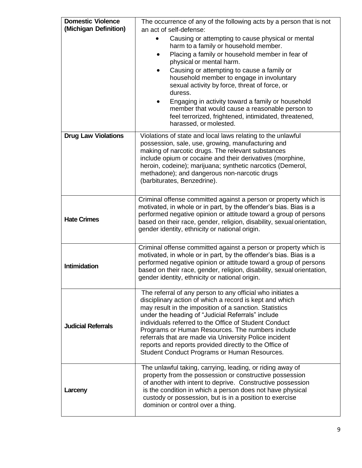| <b>Domestic Violence</b><br>(Michigan Definition) | The occurrence of any of the following acts by a person that is not<br>an act of self-defense:<br>Causing or attempting to cause physical or mental<br>harm to a family or household member.<br>Placing a family or household member in fear of<br>physical or mental harm.<br>Causing or attempting to cause a family or<br>$\bullet$<br>household member to engage in involuntary<br>sexual activity by force, threat of force, or<br>duress.<br>Engaging in activity toward a family or household<br>member that would cause a reasonable person to<br>feel terrorized, frightened, intimidated, threatened,<br>harassed, or molested. |  |  |
|---------------------------------------------------|-------------------------------------------------------------------------------------------------------------------------------------------------------------------------------------------------------------------------------------------------------------------------------------------------------------------------------------------------------------------------------------------------------------------------------------------------------------------------------------------------------------------------------------------------------------------------------------------------------------------------------------------|--|--|
| <b>Drug Law Violations</b>                        | Violations of state and local laws relating to the unlawful<br>possession, sale, use, growing, manufacturing and<br>making of narcotic drugs. The relevant substances<br>include opium or cocaine and their derivatives (morphine,<br>heroin, codeine); marijuana; synthetic narcotics (Demerol,<br>methadone); and dangerous non-narcotic drugs<br>(barbiturates, Benzedrine).                                                                                                                                                                                                                                                           |  |  |
| <b>Hate Crimes</b>                                | Criminal offense committed against a person or property which is<br>motivated, in whole or in part, by the offender's bias. Bias is a<br>performed negative opinion or attitude toward a group of persons<br>based on their race, gender, religion, disability, sexual orientation,<br>gender identity, ethnicity or national origin.                                                                                                                                                                                                                                                                                                     |  |  |
| <b>Intimidation</b>                               | Criminal offense committed against a person or property which is<br>motivated, in whole or in part, by the offender's bias. Bias is a<br>performed negative opinion or attitude toward a group of persons<br>based on their race, gender, religion, disability, sexual orientation,<br>gender identity, ethnicity or national origin.                                                                                                                                                                                                                                                                                                     |  |  |
| <b>Judicial Referrals</b>                         | The referral of any person to any official who initiates a<br>disciplinary action of which a record is kept and which<br>may result in the imposition of a sanction. Statistics<br>under the heading of "Judicial Referrals" include<br>individuals referred to the Office of Student Conduct<br>Programs or Human Resources. The numbers include<br>referrals that are made via University Police incident<br>reports and reports provided directly to the Office of<br>Student Conduct Programs or Human Resources.                                                                                                                     |  |  |
| Larceny                                           | The unlawful taking, carrying, leading, or riding away of<br>property from the possession or constructive possession<br>of another with intent to deprive. Constructive possession<br>is the condition in which a person does not have physical<br>custody or possession, but is in a position to exercise<br>dominion or control over a thing.                                                                                                                                                                                                                                                                                           |  |  |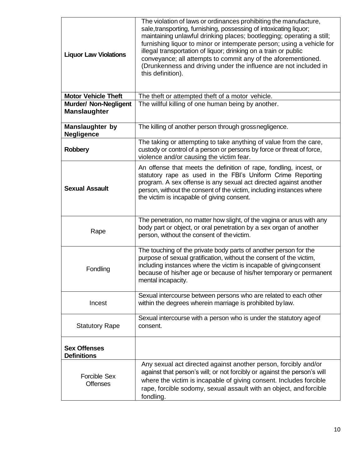| <b>Liquor Law Violations</b>                        | The violation of laws or ordinances prohibiting the manufacture,<br>sale, transporting, furnishing, possessing of intoxicating liquor;<br>maintaining unlawful drinking places; bootlegging; operating a still;<br>furnishing liquor to minor or intemperate person; using a vehicle for<br>illegal transportation of liquor; drinking on a train or public<br>conveyance; all attempts to commit any of the aforementioned.<br>(Drunkenness and driving under the influence are not included in<br>this definition). |  |
|-----------------------------------------------------|-----------------------------------------------------------------------------------------------------------------------------------------------------------------------------------------------------------------------------------------------------------------------------------------------------------------------------------------------------------------------------------------------------------------------------------------------------------------------------------------------------------------------|--|
| <b>Motor Vehicle Theft</b>                          | The theft or attempted theft of a motor vehicle.                                                                                                                                                                                                                                                                                                                                                                                                                                                                      |  |
| <b>Murder/ Non-Negligent</b><br><b>Manslaughter</b> | The willful killing of one human being by another.                                                                                                                                                                                                                                                                                                                                                                                                                                                                    |  |
| <b>Manslaughter by</b><br><b>Negligence</b>         | The killing of another person through grossnegligence.                                                                                                                                                                                                                                                                                                                                                                                                                                                                |  |
| <b>Robbery</b>                                      | The taking or attempting to take anything of value from the care,<br>custody or control of a person or persons by force or threat of force,<br>violence and/or causing the victim fear.                                                                                                                                                                                                                                                                                                                               |  |
| <b>Sexual Assault</b>                               | An offense that meets the definition of rape, fondling, incest, or<br>statutory rape as used in the FBI's Uniform Crime Reporting<br>program. A sex offense is any sexual act directed against another<br>person, without the consent of the victim, including instances where<br>the victim is incapable of giving consent.                                                                                                                                                                                          |  |
| Rape                                                | The penetration, no matter how slight, of the vagina or anus with any<br>body part or object, or oral penetration by a sex organ of another<br>person, without the consent of the victim.                                                                                                                                                                                                                                                                                                                             |  |
| Fondling                                            | The touching of the private body parts of another person for the<br>purpose of sexual gratification, without the consent of the victim,<br>including instances where the victim is incapable of giving consent<br>because of his/her age or because of his/her temporary or permanent<br>mental incapacity.                                                                                                                                                                                                           |  |
| Incest                                              | Sexual intercourse between persons who are related to each other<br>within the degrees wherein marriage is prohibited by law.                                                                                                                                                                                                                                                                                                                                                                                         |  |
| <b>Statutory Rape</b>                               | Sexual intercourse with a person who is under the statutory age of<br>consent.                                                                                                                                                                                                                                                                                                                                                                                                                                        |  |
| <b>Sex Offenses</b><br><b>Definitions</b>           |                                                                                                                                                                                                                                                                                                                                                                                                                                                                                                                       |  |
| <b>Forcible Sex</b><br><b>Offenses</b>              | Any sexual act directed against another person, forcibly and/or<br>against that person's will; or not forcibly or against the person's will<br>where the victim is incapable of giving consent. Includes forcible<br>rape, forcible sodomy, sexual assault with an object, and forcible<br>fondling.                                                                                                                                                                                                                  |  |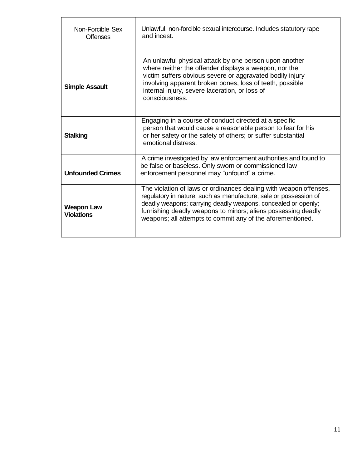| Non-Forcible Sex<br><b>Offenses</b>    | Unlawful, non-forcible sexual intercourse. Includes statutory rape<br>and incest.                                                                                                                                                                                                                                                     |
|----------------------------------------|---------------------------------------------------------------------------------------------------------------------------------------------------------------------------------------------------------------------------------------------------------------------------------------------------------------------------------------|
| <b>Simple Assault</b>                  | An unlawful physical attack by one person upon another<br>where neither the offender displays a weapon, nor the<br>victim suffers obvious severe or aggravated bodily injury<br>involving apparent broken bones, loss of teeth, possible<br>internal injury, severe laceration, or loss of<br>consciousness.                          |
| <b>Stalking</b>                        | Engaging in a course of conduct directed at a specific<br>person that would cause a reasonable person to fear for his<br>or her safety or the safety of others; or suffer substantial<br>emotional distress.                                                                                                                          |
| <b>Unfounded Crimes</b>                | A crime investigated by law enforcement authorities and found to<br>be false or baseless. Only sworn or commissioned law<br>enforcement personnel may "unfound" a crime.                                                                                                                                                              |
| <b>Weapon Law</b><br><b>Violations</b> | The violation of laws or ordinances dealing with weapon offenses,<br>regulatory in nature, such as manufacture, sale or possession of<br>deadly weapons; carrying deadly weapons, concealed or openly;<br>furnishing deadly weapons to minors; aliens possessing deadly<br>weapons; all attempts to commit any of the aforementioned. |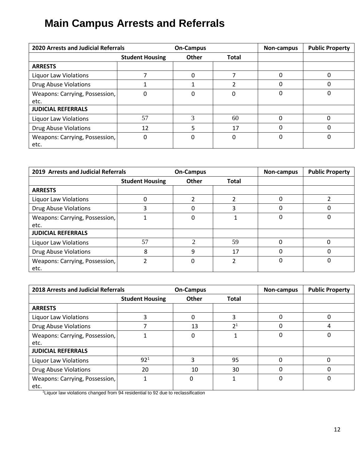# <span id="page-11-0"></span>**Main Campus Arrests and Referrals**

| <b>2020 Arrests and Judicial Referrals</b> |                        | <b>On-Campus</b> |              | Non-campus | <b>Public Property</b> |
|--------------------------------------------|------------------------|------------------|--------------|------------|------------------------|
|                                            | <b>Student Housing</b> | <b>Other</b>     | <b>Total</b> |            |                        |
| <b>ARRESTS</b>                             |                        |                  |              |            |                        |
| Liquor Law Violations                      |                        |                  |              |            |                        |
| <b>Drug Abuse Violations</b>               |                        |                  | ำ            | $\Omega$   | 0                      |
| Weapons: Carrying, Possession,<br>etc.     | 0                      | 0                | 0            | $\Omega$   | 0                      |
| <b>JUDICIAL REFERRALS</b>                  |                        |                  |              |            |                        |
| <b>Liquor Law Violations</b>               | 57                     | 3                | 60           | $\Omega$   | 0                      |
| <b>Drug Abuse Violations</b>               | 12                     | 5                | 17           | $\Omega$   | 0                      |
| Weapons: Carrying, Possession,<br>etc.     | 0                      | 0                | $\Omega$     | 0          | 0                      |

| 2019 Arrests and Judicial Referrals    |                        | <b>On-Campus</b>            |              | Non-campus   | <b>Public Property</b> |
|----------------------------------------|------------------------|-----------------------------|--------------|--------------|------------------------|
|                                        | <b>Student Housing</b> | <b>Other</b>                | <b>Total</b> |              |                        |
| <b>ARRESTS</b>                         |                        |                             |              |              |                        |
| <b>Liquor Law Violations</b>           | 0                      |                             |              | 0            |                        |
| <b>Drug Abuse Violations</b>           |                        | ŋ                           | 3            | 0            |                        |
| Weapons: Carrying, Possession,<br>etc. |                        | 0                           |              | 0            | 0                      |
| <b>JUDICIAL REFERRALS</b>              |                        |                             |              |              |                        |
| <b>Liquor Law Violations</b>           | 57                     | $\mathcal{D}_{\mathcal{A}}$ | 59           | <sup>0</sup> | ŋ                      |
| <b>Drug Abuse Violations</b>           | 8                      | 9                           | 17           |              |                        |
| Weapons: Carrying, Possession,<br>etc. |                        | 0                           | ำ            | 0            | 0                      |

| <b>2018 Arrests and Judicial Referrals</b> |                        | <b>On-Campus</b> |                | Non-campus | <b>Public Property</b> |
|--------------------------------------------|------------------------|------------------|----------------|------------|------------------------|
|                                            | <b>Student Housing</b> | <b>Other</b>     | <b>Total</b>   |            |                        |
| <b>ARRESTS</b>                             |                        |                  |                |            |                        |
| <b>Liquor Law Violations</b>               |                        | 0                | 3              | 0          | 0                      |
| <b>Drug Abuse Violations</b>               |                        | 13               | 2 <sup>1</sup> |            | 4                      |
| Weapons: Carrying, Possession,<br>etc.     |                        | 0                |                | 0          | $\Omega$               |
| <b>JUDICIAL REFERRALS</b>                  |                        |                  |                |            |                        |
| <b>Liquor Law Violations</b>               | 92 <sup>1</sup>        | 3                | 95             | 0          | $\Omega$               |
| <b>Drug Abuse Violations</b>               | 20                     | 10               | 30             | 0          | 0                      |
| Weapons: Carrying, Possession,<br>etc.     | 1                      | 0                |                | $\Omega$   | 0                      |

<sup>1</sup>Liquor law violations changed from 94 residential to 92 due to reclassification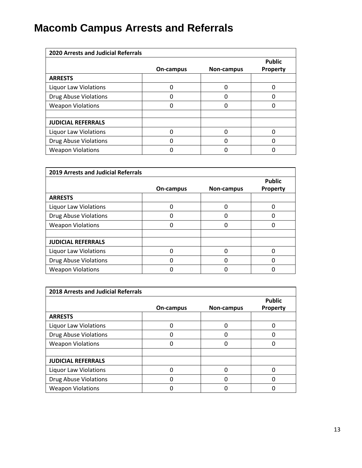# **Macomb Campus Arrests and Referrals**

| <b>2020 Arrests and Judicial Referrals</b> |           |                   |                           |  |  |
|--------------------------------------------|-----------|-------------------|---------------------------|--|--|
|                                            | On-campus | <b>Non-campus</b> | <b>Public</b><br>Property |  |  |
| <b>ARRESTS</b>                             |           |                   |                           |  |  |
| <b>Liquor Law Violations</b>               |           |                   |                           |  |  |
| Drug Abuse Violations                      |           |                   |                           |  |  |
| <b>Weapon Violations</b>                   |           |                   |                           |  |  |
|                                            |           |                   |                           |  |  |
| <b>JUDICIAL REFERRALS</b>                  |           |                   |                           |  |  |
| <b>Liquor Law Violations</b>               |           |                   |                           |  |  |
| <b>Drug Abuse Violations</b>               |           |                   |                           |  |  |
| <b>Weapon Violations</b>                   |           |                   |                           |  |  |

| <b>2019 Arrests and Judicial Referrals</b> |           |            |                                  |  |  |
|--------------------------------------------|-----------|------------|----------------------------------|--|--|
|                                            | On-campus | Non-campus | <b>Public</b><br><b>Property</b> |  |  |
| <b>ARRESTS</b>                             |           |            |                                  |  |  |
| <b>Liquor Law Violations</b>               |           | 0          |                                  |  |  |
| <b>Drug Abuse Violations</b>               |           | O          |                                  |  |  |
| <b>Weapon Violations</b>                   |           |            |                                  |  |  |
|                                            |           |            |                                  |  |  |
| <b>JUDICIAL REFERRALS</b>                  |           |            |                                  |  |  |
| <b>Liquor Law Violations</b>               |           |            |                                  |  |  |
| <b>Drug Abuse Violations</b>               |           |            |                                  |  |  |
| <b>Weapon Violations</b>                   |           |            |                                  |  |  |

| <b>2018 Arrests and Judicial Referrals</b> |           |                   |                                  |  |  |
|--------------------------------------------|-----------|-------------------|----------------------------------|--|--|
|                                            | On-campus | <b>Non-campus</b> | <b>Public</b><br><b>Property</b> |  |  |
| <b>ARRESTS</b>                             |           |                   |                                  |  |  |
| <b>Liquor Law Violations</b>               | n         | n                 |                                  |  |  |
| Drug Abuse Violations                      | n         | U                 | n                                |  |  |
| <b>Weapon Violations</b>                   |           | n                 |                                  |  |  |
|                                            |           |                   |                                  |  |  |
| <b>JUDICIAL REFERRALS</b>                  |           |                   |                                  |  |  |
| <b>Liquor Law Violations</b>               | n         |                   |                                  |  |  |
| Drug Abuse Violations                      |           |                   |                                  |  |  |
| <b>Weapon Violations</b>                   |           |                   |                                  |  |  |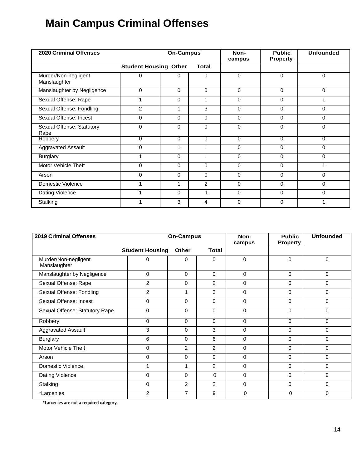# <span id="page-13-0"></span>**Main Campus Criminal Offenses**

| <b>2020 Criminal Offenses</b>        | On-Campus                    |          |              | Non-<br>campus | <b>Public</b><br><b>Property</b> | <b>Unfounded</b> |
|--------------------------------------|------------------------------|----------|--------------|----------------|----------------------------------|------------------|
|                                      | <b>Student Housing Other</b> |          | <b>Total</b> |                |                                  |                  |
| Murder/Non-negligent<br>Manslaughter | 0                            | $\Omega$ | $\Omega$     | $\Omega$       | $\Omega$                         | $\Omega$         |
| Manslaughter by Negligence           | 0                            | $\Omega$ | $\Omega$     | $\mathbf{0}$   | 0                                | 0                |
| Sexual Offense: Rape                 | 1                            | $\Omega$ | 1            | $\Omega$       | $\Omega$                         | 1                |
| Sexual Offense: Fondling             | $\overline{2}$               | 1        | 3            | $\Omega$       | $\Omega$                         | $\Omega$         |
| Sexual Offense: Incest               | $\Omega$                     | $\Omega$ | $\Omega$     | $\Omega$       | $\Omega$                         | $\Omega$         |
| Sexual Offense: Statutory<br>Rape    | $\Omega$                     | $\Omega$ | $\Omega$     | $\Omega$       | $\Omega$                         | 0                |
| Robbery                              | 0                            | 0        | 0            | $\Omega$       | $\Omega$                         | 0                |
| Aggravated Assault                   | $\Omega$                     | 1        |              | $\Omega$       | $\Omega$                         | $\Omega$         |
| <b>Burglary</b>                      |                              | $\Omega$ | 1            | $\Omega$       | $\Omega$                         | 0                |
| Motor Vehicle Theft                  | $\Omega$                     | $\Omega$ | $\Omega$     | $\Omega$       | $\Omega$                         | 4                |
| Arson                                | $\Omega$                     | $\Omega$ | $\Omega$     | $\Omega$       | $\Omega$                         | $\mathbf{0}$     |
| Domestic Violence                    | 1                            | 1        | 2            | $\Omega$       | $\Omega$                         | $\mathbf 0$      |
| Dating Violence                      |                              | $\Omega$ | 1            | $\Omega$       | $\Omega$                         | $\Omega$         |
| Stalking                             | 1                            | 3        | 4            | $\Omega$       | $\Omega$                         | 1                |

| <b>2019 Criminal Offenses</b>        | <b>On-Campus</b>       |                | Non-<br>campus | <b>Public</b><br><b>Property</b> | <b>Unfounded</b> |          |
|--------------------------------------|------------------------|----------------|----------------|----------------------------------|------------------|----------|
|                                      | <b>Student Housing</b> | <b>Other</b>   | <b>Total</b>   |                                  |                  |          |
| Murder/Non-negligent<br>Manslaughter | 0                      | 0              | $\Omega$       | $\mathbf{0}$                     | $\Omega$         | 0        |
| Manslaughter by Negligence           | $\Omega$               | $\Omega$       | $\Omega$       | $\Omega$                         | $\Omega$         | 0        |
| Sexual Offense: Rape                 | $\overline{2}$         | $\Omega$       | $\overline{2}$ | $\Omega$                         | $\Omega$         | 0        |
| Sexual Offense: Fondling             | $\overline{c}$         | 4              | 3              | $\Omega$                         | $\mathbf{0}$     | 0        |
| Sexual Offense: Incest               | $\Omega$               | $\Omega$       | $\Omega$       | $\Omega$                         | $\Omega$         | 0        |
| Sexual Offense: Statutory Rape       | $\mathbf 0$            | $\Omega$       | $\Omega$       | $\Omega$                         | $\mathbf{0}$     | 0        |
| Robbery                              | 0                      | 0              | $\overline{0}$ | $\overline{0}$                   | 0                | 0        |
| <b>Aggravated Assault</b>            | 3                      | $\Omega$       | 3              | $\Omega$                         | $\Omega$         | 0        |
| <b>Burglary</b>                      | 6                      | $\Omega$       | 6              | $\Omega$                         | $\Omega$         | 0        |
| Motor Vehicle Theft                  | $\Omega$               | $\overline{2}$ | $\overline{2}$ | $\Omega$                         | 0                | $\Omega$ |
| Arson                                | $\Omega$               | $\Omega$       | $\Omega$       | $\Omega$                         | $\Omega$         | 0        |
| Domestic Violence                    |                        | 1              | $\overline{2}$ | $\Omega$                         | $\Omega$         | 0        |
| Dating Violence                      | 0                      | $\Omega$       | $\Omega$       | $\mathbf 0$                      | 0                | 0        |
| Stalking                             | 0                      | $\overline{2}$ | $\overline{2}$ | 0                                | $\Omega$         | $\Omega$ |
| *Larcenies                           | $\overline{2}$         | 7              | 9              | 0                                | $\Omega$         | 0        |

\*Larcenies are not a required category.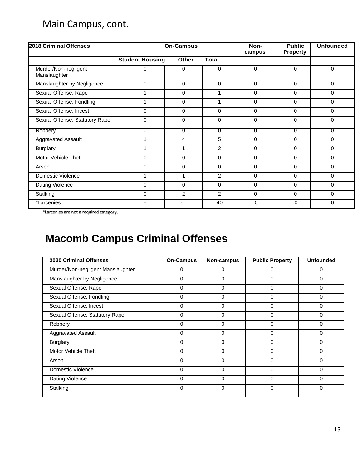# Main Campus, cont.

| 2018 Criminal Offenses               | On-Campus              |                |                | Non-<br>campus | <b>Public</b><br><b>Property</b> | <b>Unfounded</b> |
|--------------------------------------|------------------------|----------------|----------------|----------------|----------------------------------|------------------|
|                                      | <b>Student Housing</b> | <b>Other</b>   | <b>Total</b>   |                |                                  |                  |
| Murder/Non-negligent<br>Manslaughter | 0                      | $\Omega$       | $\Omega$       | 0              | $\Omega$                         | $\Omega$         |
| Manslaughter by Negligence           | 0                      | $\Omega$       | $\Omega$       | 0              | $\Omega$                         | $\Omega$         |
| Sexual Offense: Rape                 |                        | $\Omega$       | 1              | 0              | $\Omega$                         | $\Omega$         |
| Sexual Offense: Fondling             |                        | $\Omega$       | 1              | 0              | $\Omega$                         | $\Omega$         |
| Sexual Offense: Incest               | $\Omega$               | $\Omega$       | $\Omega$       | 0              | $\Omega$                         | $\Omega$         |
| Sexual Offense: Statutory Rape       | 0                      | $\Omega$       | $\Omega$       | 0              | 0                                | $\Omega$         |
| Robbery                              | 0                      | $\overline{0}$ | $\overline{0}$ | $\overline{0}$ | $\overline{0}$                   | $\overline{0}$   |
| Aggravated Assault                   |                        | 4              | 5              | $\Omega$       | $\Omega$                         | $\Omega$         |
| <b>Burglary</b>                      |                        | 1              | $\overline{2}$ | 0              | $\Omega$                         | $\Omega$         |
| <b>Motor Vehicle Theft</b>           | 0                      | 0              | 0              | 0              | $\Omega$                         | 0                |
| Arson                                | 0                      | 0              | $\Omega$       | 0              | $\Omega$                         | 0                |
| Domestic Violence                    |                        | 1              | $\overline{2}$ | 0              | $\Omega$                         | 0                |
| Dating Violence                      | 0                      | $\Omega$       | $\Omega$       | 0              | $\Omega$                         | $\Omega$         |
| Stalking                             | 0                      | 2              | $\overline{2}$ | 0              | $\Omega$                         | $\Omega$         |
| *Larcenies                           | $\blacksquare$         | $\blacksquare$ | 40             | 0              | $\mathbf 0$                      | 0                |

\*Larcenies are not a required category.

# <span id="page-14-0"></span>**Macomb Campus Criminal Offenses**

| <b>2020 Criminal Offenses</b>     | <b>On-Campus</b> | Non-campus | <b>Public Property</b> | <b>Unfounded</b> |
|-----------------------------------|------------------|------------|------------------------|------------------|
| Murder/Non-negligent Manslaughter | 0                | 0          | ∩                      | 0                |
| Manslaughter by Negligence        | 0                | 0          | 0                      | 0                |
| Sexual Offense: Rape              | 0                | $\Omega$   | $\Omega$               | 0                |
| Sexual Offense: Fondling          | 0                | 0          | $\Omega$               | 0                |
| Sexual Offense: Incest            | 0                | 0          | $\Omega$               | 0                |
| Sexual Offense: Statutory Rape    | 0                | 0          | 0                      | 0                |
| Robbery                           | $\Omega$         | $\Omega$   | $\Omega$               | 0                |
| <b>Aggravated Assault</b>         | 0                | $\Omega$   | $\Omega$               | 0                |
| <b>Burglary</b>                   | 0                | $\Omega$   | $\Omega$               | 0                |
| <b>Motor Vehicle Theft</b>        | 0                | 0          | $\Omega$               | O                |
| Arson                             | 0                | 0          | $\Omega$               | 0                |
| Domestic Violence                 | $\Omega$         | $\Omega$   | $\Omega$               | 0                |
| Dating Violence                   | 0                | $\Omega$   | $\Omega$               | 0                |
| Stalking                          | 0                | $\Omega$   | $\Omega$               | 0                |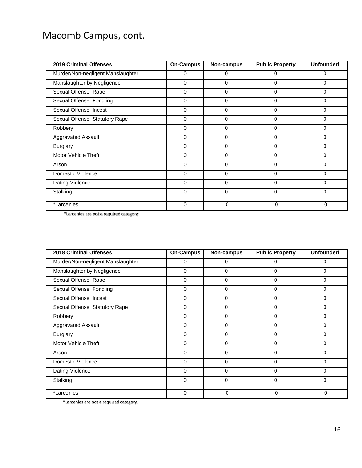# Macomb Campus, cont.

| <b>2019 Criminal Offenses</b>     | <b>On-Campus</b> | Non-campus   | <b>Public Property</b> | <b>Unfounded</b> |
|-----------------------------------|------------------|--------------|------------------------|------------------|
| Murder/Non-negligent Manslaughter | $\Omega$         | $\Omega$     | 0                      | 0                |
| Manslaughter by Negligence        | 0                | $\Omega$     | 0                      | 0                |
| Sexual Offense: Rape              | 0                | $\Omega$     | 0                      | 0                |
| Sexual Offense: Fondling          | 0                | $\Omega$     | 0                      | 0                |
| Sexual Offense: Incest            | 0                | $\Omega$     | $\Omega$               | 0                |
| Sexual Offense: Statutory Rape    | 0                | $\Omega$     | 0                      | 0                |
| Robbery                           | 0                | $\mathbf{0}$ | $\Omega$               | 0                |
| <b>Aggravated Assault</b>         | $\Omega$         | $\Omega$     | 0                      | 0                |
| <b>Burglary</b>                   | 0                | $\Omega$     | O                      | 0                |
| Motor Vehicle Theft               | 0                | 0            | 0                      | 0                |
| Arson                             | 0                | 0            | $\Omega$               | 0                |
| Domestic Violence                 | 0                | 0            | 0                      | 0                |
| Dating Violence                   | $\Omega$         | $\Omega$     | 0                      | 0                |
| Stalking                          | 0                | $\Omega$     | 0                      | 0                |
| *Larcenies                        | $\mathbf 0$      | 0            | 0                      | $\Omega$         |

\*Larcenies are not a required category.

| <b>2018 Criminal Offenses</b>     | <b>On-Campus</b> | Non-campus | <b>Public Property</b> | <b>Unfounded</b> |
|-----------------------------------|------------------|------------|------------------------|------------------|
| Murder/Non-negligent Manslaughter | $\Omega$         | 0          | 0                      | 0                |
| Manslaughter by Negligence        | 0                | 0          | 0                      | 0                |
| Sexual Offense: Rape              | 0                | $\Omega$   | $\Omega$               | 0                |
| Sexual Offense: Fondling          | 0                | 0          | 0                      | 0                |
| Sexual Offense: Incest            | 0                | 0          | $\Omega$               | 0                |
| Sexual Offense: Statutory Rape    | 0                | $\Omega$   | $\Omega$               | 0                |
| Robbery                           | 0                | 0          | $\Omega$               | 0                |
| <b>Aggravated Assault</b>         | $\Omega$         | 0          | $\Omega$               | 0                |
| <b>Burglary</b>                   | 0                | $\Omega$   | 0                      | 0                |
| Motor Vehicle Theft               | 0                | $\Omega$   | $\Omega$               | 0                |
| Arson                             | 0                | 0          | $\Omega$               | 0                |
| Domestic Violence                 | $\Omega$         | 0          | $\Omega$               | 0                |
| Dating Violence                   | 0                | 0          | 0                      | 0                |
| Stalking                          | $\Omega$         | 0          | $\Omega$               | 0                |
| *Larcenies                        | $\Omega$         | $\Omega$   | 0                      | $\Omega$         |

\*Larcenies are not a required category.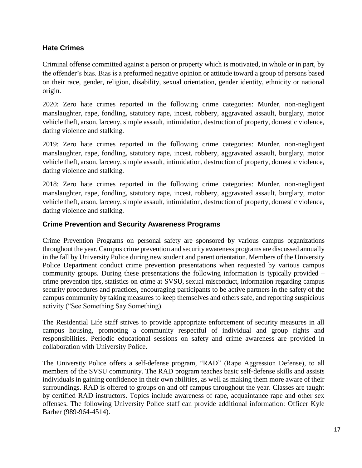# <span id="page-16-0"></span>**Hate Crimes**

Criminal offense committed against a person or property which is motivated, in whole or in part, by the offender's bias. Bias is a preformed negative opinion or attitude toward a group of persons based on their race, gender, religion, disability, sexual orientation, gender identity, ethnicity or national origin.

2020: Zero hate crimes reported in the following crime categories: Murder, non-negligent manslaughter, rape, fondling, statutory rape, incest, robbery, aggravated assault, burglary, motor vehicle theft, arson, larceny, simple assault, intimidation, destruction of property, domestic violence, dating violence and stalking.

2019: Zero hate crimes reported in the following crime categories: Murder, non-negligent manslaughter, rape, fondling, statutory rape, incest, robbery, aggravated assault, burglary, motor vehicle theft, arson, larceny, simple assault, intimidation, destruction of property, domestic violence, dating violence and stalking.

2018: Zero hate crimes reported in the following crime categories: Murder, non-negligent manslaughter, rape, fondling, statutory rape, incest, robbery, aggravated assault, burglary, motor vehicle theft, arson, larceny, simple assault, intimidation, destruction of property, domestic violence, dating violence and stalking.

## <span id="page-16-1"></span>**Crime Prevention and Security Awareness Programs**

Crime Prevention Programs on personal safety are sponsored by various campus organizations throughout the year. Campus crime prevention and security awareness programs are discussed annually in the fall by University Police during new student and parent orientation. Members of the University Police Department conduct crime prevention presentations when requested by various campus community groups. During these presentations the following information is typically provided – crime prevention tips, statistics on crime at SVSU, sexual misconduct, information regarding campus security procedures and practices, encouraging participants to be active partners in the safety of the campus community by taking measures to keep themselves and others safe, and reporting suspicious activity ("See Something Say Something).

The Residential Life staff strives to provide appropriate enforcement of security measures in all campus housing, promoting a community respectful of individual and group rights and responsibilities. Periodic educational sessions on safety and crime awareness are provided in collaboration with University Police.

The University Police offers a self-defense program, "RAD" (Rape Aggression Defense), to all members of the SVSU community. The RAD program teaches basic self-defense skills and assists individuals in gaining confidence in their own abilities, as well as making them more aware of their surroundings. RAD is offered to groups on and off campus throughout the year. Classes are taught by certified RAD instructors. Topics include awareness of rape, acquaintance rape and other sex offenses. The following University Police staff can provide additional information: Officer Kyle Barber (989-964-4514).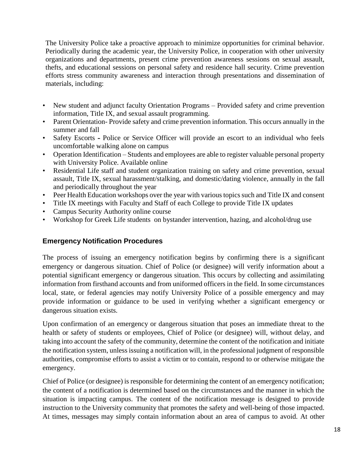The University Police take a proactive approach to minimize opportunities for criminal behavior. Periodically during the academic year, the University Police, in cooperation with other university organizations and departments, present crime prevention awareness sessions on sexual assault, thefts, and educational sessions on personal safety and residence hall security. Crime prevention efforts stress community awareness and interaction through presentations and dissemination of materials, including:

- New student and adjunct faculty Orientation Programs Provided safety and crime prevention information, Title IX, and sexual assault programming.
- Parent Orientation-Provide safety and crime prevention information. This occurs annually in the summer and fall
- Safety Escorts Police or Service Officer will provide an escort to an individual who feels uncomfortable walking alone on campus
- Operation Identification Students and employees are able to register valuable personal property with University Police. Available online
- Residential Life staff and student organization training on safety and crime prevention, sexual assault, Title IX, sexual harassment/stalking, and domestic/dating violence, annually in the fall and periodically throughout the year
- Peer Health Education workshops over the year with various topics such and Title IX and consent
- Title IX meetings with Faculty and Staff of each College to provide Title IX updates
- Campus Security Authority online course
- Workshop for Greek Life students on bystander intervention, hazing, and alcohol/drug use

# <span id="page-17-0"></span>**Emergency Notification Procedures**

The process of issuing an emergency notification begins by confirming there is a significant emergency or dangerous situation. Chief of Police (or designee) will verify information about a potential significant emergency or dangerous situation. This occurs by collecting and assimilating information from firsthand accounts and from uniformed officers in the field. In some circumstances local, state, or federal agencies may notify University Police of a possible emergency and may provide information or guidance to be used in verifying whether a significant emergency or dangerous situation exists.

Upon confirmation of an emergency or dangerous situation that poses an immediate threat to the health or safety of students or employees, Chief of Police (or designee) will, without delay, and taking into account the safety of the community, determine the content of the notification and initiate the notification system, unless issuing a notification will, in the professional judgment of responsible authorities, compromise efforts to assist a victim or to contain, respond to or otherwise mitigate the emergency.

Chief of Police (or designee) is responsible for determining the content of an emergency notification; the content of a notification is determined based on the circumstances and the manner in which the situation is impacting campus. The content of the notification message is designed to provide instruction to the University community that promotes the safety and well-being of those impacted. At times, messages may simply contain information about an area of campus to avoid. At other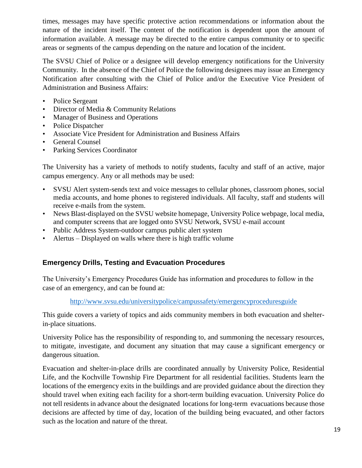times, messages may have specific protective action recommendations or information about the nature of the incident itself. The content of the notification is dependent upon the amount of information available. A message may be directed to the entire campus community or to specific areas or segments of the campus depending on the nature and location of the incident.

The SVSU Chief of Police or a designee will develop emergency notifications for the University Community. In the absence of the Chief of Police the following designees may issue an Emergency Notification after consulting with the Chief of Police and/or the Executive Vice President of Administration and Business Affairs:

- Police Sergeant
- Director of Media & Community Relations
- Manager of Business and Operations
- Police Dispatcher
- Associate Vice President for Administration and Business Affairs
- General Counsel
- Parking Services Coordinator

The University has a variety of methods to notify students, faculty and staff of an active, major campus emergency. Any or all methods may be used:

- SVSU Alert system-sends text and voice messages to cellular phones, classroom phones, social media accounts, and home phones to registered individuals. All faculty, staff and students will receive e-mails from the system.
- News Blast-displayed on the SVSU website homepage, University Police webpage, local media, and computer screens that are logged onto SVSU Network, SVSU e-mail account
- Public Address System-outdoor campus public alert system
- Alertus Displayed on walls where there is high traffic volume

# <span id="page-18-0"></span>**Emergency Drills, Testing and Evacuation Procedures**

The University's Emergency Procedures Guide has information and procedures to follow in the case of an emergency, and can be found at:

## <http://www.svsu.edu/universitypolice/campussafety/emergencyproceduresguide>

This guide covers a variety of topics and aids community members in both evacuation and shelterin-place situations.

University Police has the responsibility of responding to, and summoning the necessary resources, to mitigate, investigate, and document any situation that may cause a significant emergency or dangerous situation.

Evacuation and shelter-in-place drills are coordinated annually by University Police, Residential Life, and the Kochville Township Fire Department for all residential facilities. Students learn the locations of the emergency exits in the buildings and are provided guidance about the direction they should travel when exiting each facility for a short-term building evacuation. University Police do not tell residents in advance about the designated locations for long-term evacuations because those decisions are affected by time of day, location of the building being evacuated, and other factors such as the location and nature of the threat.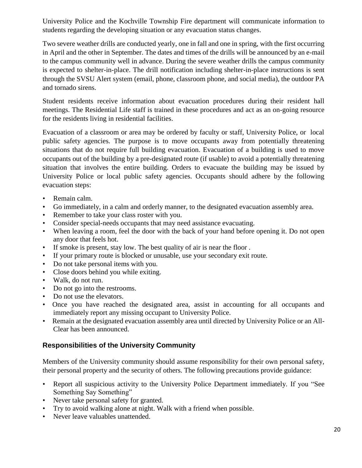University Police and the Kochville Township Fire department will communicate information to students regarding the developing situation or any evacuation status changes.

Two severe weather drills are conducted yearly, one in fall and one in spring, with the first occurring in April and the other in September. The dates and times of the drills will be announced by an e-mail to the campus community well in advance. During the severe weather drills the campus community is expected to shelter-in-place. The drill notification including shelter-in-place instructions is sent through the SVSU Alert system (email, phone, classroom phone, and social media), the outdoor PA and tornado sirens.

Student residents receive information about evacuation procedures during their resident hall meetings. The Residential Life staff is trained in these procedures and act as an on-going resource for the residents living in residential facilities.

Evacuation of a classroom or area may be ordered by faculty or staff, University Police, or local public safety agencies. The purpose is to move occupants away from potentially threatening situations that do not require full building evacuation. Evacuation of a building is used to move occupants out of the building by a pre-designated route (if usable) to avoid a potentially threatening situation that involves the entire building. Orders to evacuate the building may be issued by University Police or local public safety agencies. Occupants should adhere by the following evacuation steps:

- Remain calm.
- Go immediately, in a calm and orderly manner, to the designated evacuation assembly area.
- Remember to take your class roster with you.
- Consider special-needs occupants that may need assistance evacuating.
- When leaving a room, feel the door with the back of your hand before opening it. Do not open any door that feels hot.
- If smoke is present, stay low. The best quality of air is near the floor .
- If your primary route is blocked or unusable, use your secondary exit route.
- Do not take personal items with you.
- Close doors behind you while exiting.
- Walk, do not run.
- Do not go into the restrooms.
- Do not use the elevators.
- Once you have reached the designated area, assist in accounting for all occupants and immediately report any missing occupant to University Police.
- Remain at the designated evacuation assembly area until directed by University Police or an All-Clear has been announced.

# <span id="page-19-0"></span>**Responsibilities of the University Community**

Members of the University community should assume responsibility for their own personal safety, their personal property and the security of others. The following precautions provide guidance:

- Report all suspicious activity to the University Police Department immediately. If you "See Something Say Something"
- Never take personal safety for granted.
- Try to avoid walking alone at night. Walk with a friend when possible.
- Never leave valuables unattended.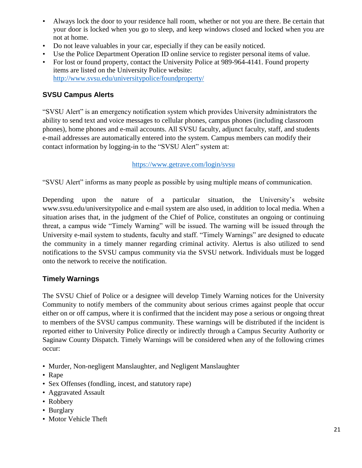- Always lock the door to your residence hall room, whether or not you are there. Be certain that your door is locked when you go to sleep, and keep windows closed and locked when you are not at home.
- Do not leave valuables in your car, especially if they can be easily noticed.
- Use the Police Department Operation ID online service to register personal items of value.
- For lost or found property, contact the University Police at 989-964-4141. Found property items are listed on the University Police website: <http://www.svsu.edu/universitypolice/foundproperty/>

## <span id="page-20-0"></span>**SVSU Campus Alerts**

"SVSU Alert" is an emergency notification system which provides University administrators the ability to send text and voice messages to cellular phones, campus phones (including classroom phones), home phones and e-mail accounts. All SVSU faculty, adjunct faculty, staff, and students e-mail addresses are automatically entered into the system. Campus members can modify their contact information by logging-in to the "SVSU Alert" system at:

#### <https://www.getrave.com/login/svsu>

"SVSU Alert" informs as many people as possible by using multiple means of communication.

Depending upon the nature of a particular situation, the University's website www.svsu.edu/universitypolice and e-mail system are also used, in addition to local media. When a situation arises that, in the judgment of the Chief of Police, constitutes an ongoing or continuing threat, a campus wide "Timely Warning" will be issued. The warning will be issued through the University e-mail system to students, faculty and staff. "Timely Warnings" are designed to educate the community in a timely manner regarding criminal activity. Alertus is also utilized to send notifications to the SVSU campus community via the SVSU network. Individuals must be logged onto the network to receive the notification.

## <span id="page-20-1"></span>**Timely Warnings**

The SVSU Chief of Police or a designee will develop Timely Warning notices for the University Community to notify members of the community about serious crimes against people that occur either on or off campus, where it is confirmed that the incident may pose a serious or ongoing threat to members of the SVSU campus community. These warnings will be distributed if the incident is reported either to University Police directly or indirectly through a Campus Security Authority or Saginaw County Dispatch. Timely Warnings will be considered when any of the following crimes occur:

- Murder, Non-negligent Manslaughter, and Negligent Manslaughter
- Rape
- Sex Offenses (fondling, incest, and statutory rape)
- Aggravated Assault
- Robbery
- Burglary
- Motor Vehicle Theft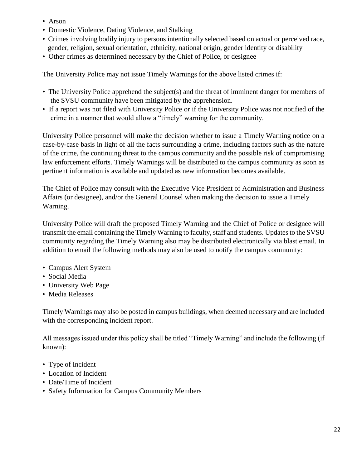- Arson
- Domestic Violence, Dating Violence, and Stalking
- Crimes involving bodily injury to persons intentionally selected based on actual or perceived race, gender, religion, sexual orientation, ethnicity, national origin, gender identity or disability
- Other crimes as determined necessary by the Chief of Police, or designee

The University Police may not issue Timely Warnings for the above listed crimes if:

- The University Police apprehend the subject(s) and the threat of imminent danger for members of the SVSU community have been mitigated by the apprehension.
- If a report was not filed with University Police or if the University Police was not notified of the crime in a manner that would allow a "timely" warning for the community.

University Police personnel will make the decision whether to issue a Timely Warning notice on a case-by-case basis in light of all the facts surrounding a crime, including factors such as the nature of the crime, the continuing threat to the campus community and the possible risk of compromising law enforcement efforts. Timely Warnings will be distributed to the campus community as soon as pertinent information is available and updated as new information becomes available.

The Chief of Police may consult with the Executive Vice President of Administration and Business Affairs (or designee), and/or the General Counsel when making the decision to issue a Timely Warning.

University Police will draft the proposed Timely Warning and the Chief of Police or designee will transmit the email containing the Timely Warning to faculty, staff and students. Updates to the SVSU community regarding the Timely Warning also may be distributed electronically via blast email. In addition to email the following methods may also be used to notify the campus community:

- Campus Alert System
- Social Media
- University Web Page
- Media Releases

Timely Warnings may also be posted in campus buildings, when deemed necessary and are included with the corresponding incident report.

All messages issued under this policy shall be titled "Timely Warning" and include the following (if known):

- Type of Incident
- Location of Incident
- Date/Time of Incident
- Safety Information for Campus Community Members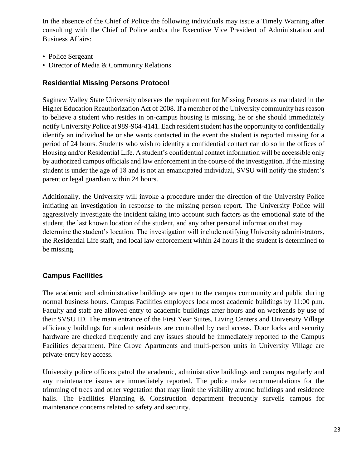In the absence of the Chief of Police the following individuals may issue a Timely Warning after consulting with the Chief of Police and/or the Executive Vice President of Administration and Business Affairs:

- Police Sergeant
- Director of Media & Community Relations

# <span id="page-22-0"></span>**Residential Missing Persons Protocol**

Saginaw Valley State University observes the requirement for Missing Persons as mandated in the Higher Education Reauthorization Act of 2008. If a member of the University community has reason to believe a student who resides in on-campus housing is missing, he or she should immediately notify University Police at 989-964-4141. Each resident student has the opportunity to confidentially identify an individual he or she wants contacted in the event the student is reported missing for a period of 24 hours. Students who wish to identify a confidential contact can do so in the offices of Housing and/or Residential Life. A student's confidential contact information will be accessible only by authorized campus officials and law enforcement in the course of the investigation. If the missing student is under the age of 18 and is not an emancipated individual, SVSU will notify the student's parent or legal guardian within 24 hours.

Additionally, the University will invoke a procedure under the direction of the University Police initiating an investigation in response to the missing person report. The University Police will aggressively investigate the incident taking into account such factors as the emotional state of the student, the last known location of the student, and any other personal information that may determine the student's location. The investigation will include notifying University administrators, the Residential Life staff, and local law enforcement within 24 hours if the student is determined to be missing.

# <span id="page-22-1"></span>**Campus Facilities**

The academic and administrative buildings are open to the campus community and public during normal business hours. Campus Facilities employees lock most academic buildings by 11:00 p.m. Faculty and staff are allowed entry to academic buildings after hours and on weekends by use of their SVSU ID. The main entrance of the First Year Suites, Living Centers and University Village efficiency buildings for student residents are controlled by card access. Door locks and security hardware are checked frequently and any issues should be immediately reported to the Campus Facilities department. Pine Grove Apartments and multi-person units in University Village are private-entry key access.

University police officers patrol the academic, administrative buildings and campus regularly and any maintenance issues are immediately reported. The police make recommendations for the trimming of trees and other vegetation that may limit the visibility around buildings and residence halls. The Facilities Planning & Construction department frequently surveils campus for maintenance concerns related to safety and security.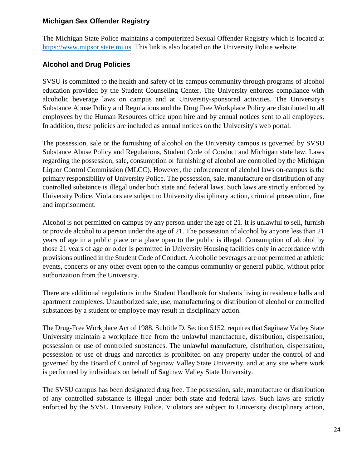## <span id="page-23-0"></span>**Michigan Sex Offender Registry**

The Michigan State Police maintains a computerized Sexual Offender Registry which is located at [https://www.mipsor.state.mi.us](http://www.mipsor.state.mi.us/) This link is also located on the University Police website.

# <span id="page-23-1"></span>**Alcohol and Drug Policies**

SVSU is committed to the health and safety of its campus community through programs of alcohol education provided by the Student Counseling Center. The University enforces compliance with alcoholic beverage laws on campus and at University-sponsored activities. The University's Substance Abuse Policy and Regulations and the Drug Free Workplace Policy are distributed to all employees by the Human Resources office upon hire and by annual notices sent to all employees. In addition, these policies are included as annual notices on the University's web portal.

The possession, sale or the furnishing of alcohol on the University campus is governed by SVSU Substance Abuse Policy and Regulations, Student Code of Conduct and Michigan state law. Laws regarding the possession, sale, consumption or furnishing of alcohol are controlled by the Michigan Liquor Control Commission (MLCC). However, the enforcement of alcohol laws on-campus is the primary responsibility of University Police. The possession, sale, manufacture or distribution of any controlled substance is illegal under both state and federal laws. Such laws are strictly enforced by University Police. Violators are subject to University disciplinary action, criminal prosecution, fine and imprisonment.

Alcohol is not permitted on campus by any person under the age of 21. It is unlawful to sell, furnish or provide alcohol to a person under the age of 21. The possession of alcohol by anyone less than 21 years of age in a public place or a place open to the public is illegal. Consumption of alcohol by those 21 years of age or older is permitted in University Housing facilities only in accordance with provisions outlined in the Student Code of Conduct. Alcoholic beverages are not permitted at athletic events, concerts or any other event open to the campus community or general public, without prior authorization from the University.

There are additional regulations in the Student Handbook for students living in residence halls and apartment complexes. Unauthorized sale, use, manufacturing or distribution of alcohol or controlled substances by a student or employee may result in disciplinary action.

The Drug-Free Workplace Act of 1988, Subtitle D, Section 5152, requires that Saginaw Valley State University maintain a workplace free from the unlawful manufacture, distribution, dispensation, possession or use of controlled substances. The unlawful manufacture, distribution, dispensation, possession or use of drugs and narcotics is prohibited on any property under the control of and governed by the Board of Control of Saginaw Valley State University, and at any site where work is performed by individuals on behalf of Saginaw Valley State University.

The SVSU campus has been designated drug free. The possession, sale, manufacture or distribution of any controlled substance is illegal under both state and federal laws. Such laws are strictly enforced by the SVSU University Police. Violators are subject to University disciplinary action,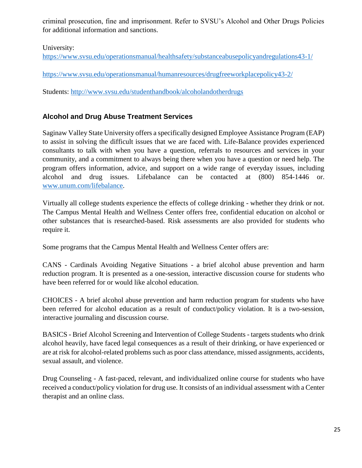criminal prosecution, fine and imprisonment. Refer to SVSU's Alcohol and Other Drugs Policies for additional information and sanctions.

University:

<https://www.svsu.edu/operationsmanual/healthsafety/substanceabusepolicyandregulations43-1/>

<https://www.svsu.edu/operationsmanual/humanresources/drugfreeworkplacepolicy43-2/>

Students:<http://www.svsu.edu/studenthandbook/alcoholandotherdrugs>

# <span id="page-24-0"></span>**Alcohol and Drug Abuse Treatment Services**

Saginaw Valley State University offers a specifically designed Employee Assistance Program (EAP) to assist in solving the difficult issues that we are faced with. Life-Balance provides experienced consultants to talk with when you have a question, referrals to resources and services in your community, and a commitment to always being there when you have a question or need help. The program offers information, advice, and support on a wide range of everyday issues, including alcohol and drug issues. Lifebalance can be contacted at (800) 854-1446 or. [www.unum.com/lifebalance.](http://www.unum.com/lifebalance)

Virtually all college students experience the effects of college drinking - whether they drink or not. The Campus Mental Health and Wellness Center offers free, confidential education on alcohol or other substances that is researched-based. Risk assessments are also provided for students who require it.

Some programs that the Campus Mental Health and Wellness Center offers are:

CANS - Cardinals Avoiding Negative Situations - a brief alcohol abuse prevention and harm reduction program. It is presented as a one-session, interactive discussion course for students who have been referred for or would like alcohol education.

CHOICES - A brief alcohol abuse prevention and harm reduction program for students who have been referred for alcohol education as a result of conduct/policy violation. It is a two-session, interactive journaling and discussion course.

BASICS - Brief Alcohol Screening and Intervention of College Students - targets students who drink alcohol heavily, have faced legal consequences as a result of their drinking, or have experienced or are at risk for alcohol-related problems such as poor class attendance, missed assignments, accidents, sexual assault, and violence.

Drug Counseling - A fast-paced, relevant, and individualized online course for students who have received a conduct/policy violation for drug use. It consists of an individual assessment with a Center therapist and an online class.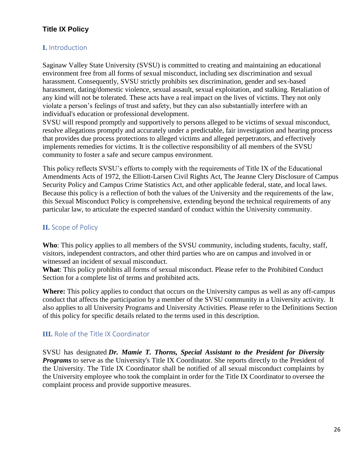# <span id="page-25-0"></span>**Title IX Policy**

# <span id="page-25-1"></span>**I.** Introduction

Saginaw Valley State University (SVSU) is committed to creating and maintaining an educational environment free from all forms of sexual misconduct, including sex discrimination and sexual harassment. Consequently, SVSU strictly prohibits sex discrimination, gender and sex-based harassment, dating/domestic violence, sexual assault, sexual exploitation, and stalking. Retaliation of any kind will not be tolerated. These acts have a real impact on the lives of victims. They not only violate a person's feelings of trust and safety, but they can also substantially interfere with an individual's education or professional development.

SVSU will respond promptly and supportively to persons alleged to be victims of sexual misconduct, resolve allegations promptly and accurately under a predictable, fair investigation and hearing process that provides due process protections to alleged victims and alleged perpetrators, and effectively implements remedies for victims. It is the collective responsibility of all members of the SVSU community to foster a safe and secure campus environment.

This policy reflects SVSU's efforts to comply with the requirements of Title IX of the Educational Amendments Acts of 1972, the Elliott-Larsen Civil Rights Act, The Jeanne Clery Disclosure of Campus Security Policy and Campus Crime Statistics Act, and other applicable federal, state, and local laws. Because this policy is a reflection of both the values of the University and the requirements of the law, this Sexual Misconduct Policy is comprehensive, extending beyond the technical requirements of any particular law, to articulate the expected standard of conduct within the University community.

# <span id="page-25-2"></span>**II.** Scope of Policy

**Who**: This policy applies to all members of the SVSU community, including students, faculty, staff, visitors, independent contractors, and other third parties who are on campus and involved in or witnessed an incident of sexual misconduct.

**What**: This policy prohibits all forms of sexual misconduct. Please refer to the Prohibited Conduct Section for a complete list of terms and prohibited acts.

**Where:** This policy applies to conduct that occurs on the University campus as well as any off-campus conduct that affects the participation by a member of the SVSU community in a University activity. It also applies to all University Programs and University Activities. Please refer to the Definitions Section of this policy for specific details related to the terms used in this description.

# <span id="page-25-3"></span>**III.** Role of the Title IX Coordinator

SVSU has designated *Dr. Mamie T. Thorns, Special Assistant to the President for Diversity Programs* to serve as the University's Title IX Coordinator. She reports directly to the President of the University. The Title IX Coordinator shall be notified of all sexual misconduct complaints by the University employee who took the complaint in order for the Title IX Coordinator to oversee the complaint process and provide supportive measures.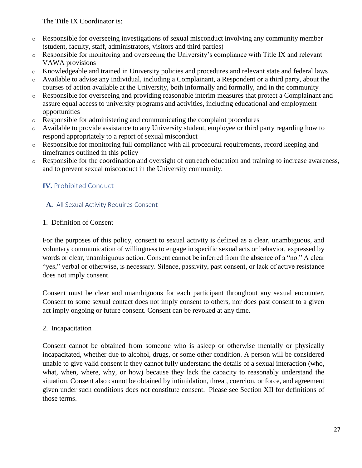The Title IX Coordinator is:

- o Responsible for overseeing investigations of sexual misconduct involving any community member (student, faculty, staff, administrators, visitors and third parties)
- o Responsible for monitoring and overseeing the University's compliance with Title IX and relevant VAWA provisions
- o Knowledgeable and trained in University policies and procedures and relevant state and federal laws
- o Available to advise any individual, including a Complainant, a Respondent or a third party, about the courses of action available at the University, both informally and formally, and in the community
- o Responsible for overseeing and providing reasonable interim measures that protect a Complainant and assure equal access to university programs and activities, including educational and employment opportunities
- o Responsible for administering and communicating the complaint procedures
- o Available to provide assistance to any University student, employee or third party regarding how to respond appropriately to a report of sexual misconduct
- o Responsible for monitoring full compliance with all procedural requirements, record keeping and timeframes outlined in this policy
- o Responsible for the coordination and oversight of outreach education and training to increase awareness, and to prevent sexual misconduct in the University community.

# <span id="page-26-0"></span>**IV.** Prohibited Conduct

## <span id="page-26-1"></span> **A.** All Sexual Activity Requires Consent

## 1. Definition of Consent

For the purposes of this policy, consent to sexual activity is defined as a clear, unambiguous, and voluntary communication of willingness to engage in specific sexual acts or behavior, expressed by words or clear, unambiguous action. Consent cannot be inferred from the absence of a "no." A clear "yes," verbal or otherwise, is necessary. Silence, passivity, past consent, or lack of active resistance does not imply consent.

Consent must be clear and unambiguous for each participant throughout any sexual encounter. Consent to some sexual contact does not imply consent to others, nor does past consent to a given act imply ongoing or future consent. Consent can be revoked at any time.

## 2. Incapacitation

Consent cannot be obtained from someone who is asleep or otherwise mentally or physically incapacitated, whether due to alcohol, drugs, or some other condition. A person will be considered unable to give valid consent if they cannot fully understand the details of a sexual interaction (who, what, when, where, why, or how) because they lack the capacity to reasonably understand the situation. Consent also cannot be obtained by intimidation, threat, coercion, or force, and agreement given under such conditions does not constitute consent. Please see Section XII for definitions of those terms.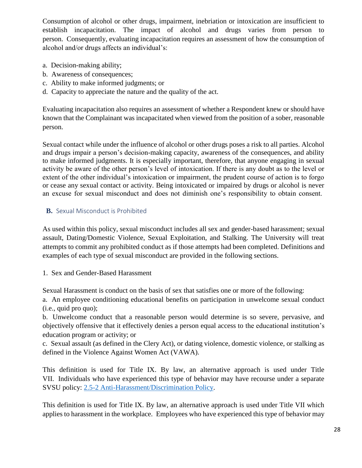Consumption of alcohol or other drugs, impairment, inebriation or intoxication are insufficient to establish incapacitation. The impact of alcohol and drugs varies from person to person. Consequently, evaluating incapacitation requires an assessment of how the consumption of alcohol and/or drugs affects an individual's:

- a. Decision-making ability;
- b. Awareness of consequences;
- c. Ability to make informed judgments; or
- d. Capacity to appreciate the nature and the quality of the act.

Evaluating incapacitation also requires an assessment of whether a Respondent knew or should have known that the Complainant was incapacitated when viewed from the position of a sober, reasonable person.

Sexual contact while under the influence of alcohol or other drugs poses a risk to all parties. Alcohol and drugs impair a person's decision-making capacity, awareness of the consequences, and ability to make informed judgments. It is especially important, therefore, that anyone engaging in sexual activity be aware of the other person's level of intoxication. If there is any doubt as to the level or extent of the other individual's intoxication or impairment, the prudent course of action is to forgo or cease any sexual contact or activity. Being intoxicated or impaired by drugs or alcohol is never an excuse for sexual misconduct and does not diminish one's responsibility to obtain consent.

# <span id="page-27-0"></span> **B.** Sexual Misconduct is Prohibited

As used within this policy, sexual misconduct includes all sex and gender-based harassment; sexual assault, Dating/Domestic Violence, Sexual Exploitation, and Stalking. The University will treat attempts to commit any prohibited conduct as if those attempts had been completed. Definitions and examples of each type of sexual misconduct are provided in the following sections.

1. Sex and Gender-Based Harassment

Sexual Harassment is conduct on the basis of sex that satisfies one or more of the following:

a. An employee conditioning educational benefits on participation in unwelcome sexual conduct (i.e., quid pro quo);

b. Unwelcome conduct that a reasonable person would determine is so severe, pervasive, and objectively offensive that it effectively denies a person equal access to the educational institution's education program or activity; or

c. Sexual assault (as defined in the Clery Act), or dating violence, domestic violence, or stalking as defined in the Violence Against Women Act (VAWA).

This definition is used for Title IX. By law, an alternative approach is used under Title VII. Individuals who have experienced this type of behavior may have recourse under a separate SVSU policy: [2.5-2 Anti-Harassment/Discrimination Policy.](https://www.svsu.edu/operationsmanual/legalcompliance/anti-harassmentdiscriminationpolicy25-2/)

This definition is used for Title IX. By law, an alternative approach is used under Title VII which applies to harassment in the workplace. Employees who have experienced this type of behavior may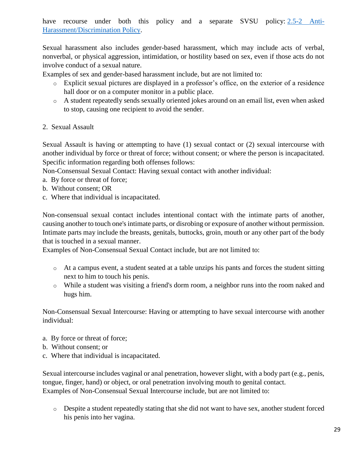have recourse under both this policy and a separate SVSU policy: [2.5-2 Anti-](https://www.svsu.edu/operationsmanual/legalcompliance/anti-harassmentdiscriminationpolicy25-2/)[Harassment/Discrimination Policy.](https://www.svsu.edu/operationsmanual/legalcompliance/anti-harassmentdiscriminationpolicy25-2/)

Sexual harassment also includes gender-based harassment, which may include acts of verbal, nonverbal, or physical aggression, intimidation, or hostility based on sex, even if those acts do not involve conduct of a sexual nature.

Examples of sex and gender-based harassment include, but are not limited to:

- o Explicit sexual pictures are displayed in a professor's office, on the exterior of a residence hall door or on a computer monitor in a public place.
- o A student repeatedly sends sexually oriented jokes around on an email list, even when asked to stop, causing one recipient to avoid the sender.
- 2. Sexual Assault

Sexual Assault is having or attempting to have (1) sexual contact or (2) sexual intercourse with another individual by force or threat of force; without consent; or where the person is incapacitated. Specific information regarding both offenses follows:

Non-Consensual Sexual Contact: Having sexual contact with another individual:

- a. By force or threat of force;
- b. Without consent; OR
- c. Where that individual is incapacitated.

Non-consensual sexual contact includes intentional contact with the intimate parts of another, causing another to touch one's intimate parts, or disrobing or exposure of another without permission. Intimate parts may include the breasts, genitals, buttocks, groin, mouth or any other part of the body that is touched in a sexual manner.

Examples of Non-Consensual Sexual Contact include, but are not limited to:

- o At a campus event, a student seated at a table unzips his pants and forces the student sitting next to him to touch his penis.
- o While a student was visiting a friend's dorm room, a neighbor runs into the room naked and hugs him.

Non-Consensual Sexual Intercourse: Having or attempting to have sexual intercourse with another individual:

- a. By force or threat of force;
- b. Without consent; or
- c. Where that individual is incapacitated.

Sexual intercourse includes vaginal or anal penetration, however slight, with a body part (e.g., penis, tongue, finger, hand) or object, or oral penetration involving mouth to genital contact. Examples of Non-Consensual Sexual Intercourse include, but are not limited to:

o Despite a student repeatedly stating that she did not want to have sex, another student forced his penis into her vagina.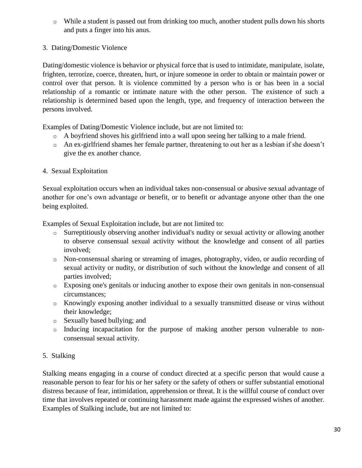- $\circ$  While a student is passed out from drinking too much, another student pulls down his shorts and puts a finger into his anus.
- 3. Dating/Domestic Violence

Dating/domestic violence is behavior or physical force that is used to intimidate, manipulate, isolate, frighten, terrorize, coerce, threaten, hurt, or injure someone in order to obtain or maintain power or control over that person. It is violence committed by a person who is or has been in a social relationship of a romantic or intimate nature with the other person. The existence of such a relationship is determined based upon the length, type, and frequency of interaction between the persons involved.

Examples of Dating/Domestic Violence include, but are not limited to:

- o A boyfriend shoves his girlfriend into a wall upon seeing her talking to a male friend.
- o An ex-girlfriend shames her female partner, threatening to out her as a lesbian if she doesn't give the ex another chance.
- 4. Sexual Exploitation

Sexual exploitation occurs when an individual takes non-consensual or abusive sexual advantage of another for one's own advantage or benefit, or to benefit or advantage anyone other than the one being exploited.

Examples of Sexual Exploitation include, but are not limited to:

- o Surreptitiously observing another individual's nudity or sexual activity or allowing another to observe consensual sexual activity without the knowledge and consent of all parties involved;
- o Non-consensual sharing or streaming of images, photography, video, or audio recording of sexual activity or nudity, or distribution of such without the knowledge and consent of all parties involved;
- o Exposing one's genitals or inducing another to expose their own genitals in non-consensual circumstances;
- o Knowingly exposing another individual to a sexually transmitted disease or virus without their knowledge;
- o Sexually based bullying; and
- o Inducing incapacitation for the purpose of making another person vulnerable to nonconsensual sexual activity.
- 5. Stalking

Stalking means engaging in a course of conduct directed at a specific person that would cause a reasonable person to fear for his or her safety or the safety of others or suffer substantial emotional distress because of fear, intimidation, apprehension or threat. It is the willful course of conduct over time that involves repeated or continuing harassment made against the expressed wishes of another. Examples of Stalking include, but are not limited to: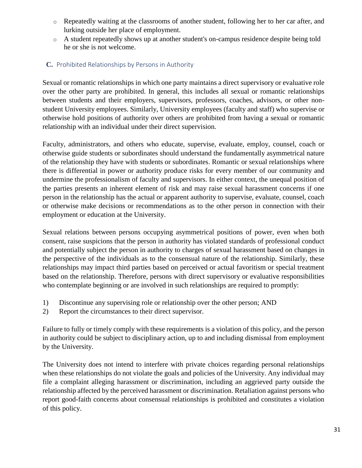- o Repeatedly waiting at the classrooms of another student, following her to her car after, and lurking outside her place of employment.
- o A student repeatedly shows up at another student's on-campus residence despite being told he or she is not welcome.

## <span id="page-30-0"></span> **C.** Prohibited Relationships by Persons in Authority

Sexual or romantic relationships in which one party maintains a direct supervisory or evaluative role over the other party are prohibited. In general, this includes all sexual or romantic relationships between students and their employers, supervisors, professors, coaches, advisors, or other nonstudent University employees. Similarly, University employees (faculty and staff) who supervise or otherwise hold positions of authority over others are prohibited from having a sexual or romantic relationship with an individual under their direct supervision.

Faculty, administrators, and others who educate, supervise, evaluate, employ, counsel, coach or otherwise guide students or subordinates should understand the fundamentally asymmetrical nature of the relationship they have with students or subordinates. Romantic or sexual relationships where there is differential in power or authority produce risks for every member of our community and undermine the professionalism of faculty and supervisors. In either context, the unequal position of the parties presents an inherent element of risk and may raise sexual harassment concerns if one person in the relationship has the actual or apparent authority to supervise, evaluate, counsel, coach or otherwise make decisions or recommendations as to the other person in connection with their employment or education at the University.

Sexual relations between persons occupying asymmetrical positions of power, even when both consent, raise suspicions that the person in authority has violated standards of professional conduct and potentially subject the person in authority to charges of sexual harassment based on changes in the perspective of the individuals as to the consensual nature of the relationship. Similarly, these relationships may impact third parties based on perceived or actual favoritism or special treatment based on the relationship. Therefore, persons with direct supervisory or evaluative responsibilities who contemplate beginning or are involved in such relationships are required to promptly:

- 1) Discontinue any supervising role or relationship over the other person; AND
- 2) Report the circumstances to their direct supervisor.

Failure to fully or timely comply with these requirements is a violation of this policy, and the person in authority could be subject to disciplinary action, up to and including dismissal from employment by the University.

The University does not intend to interfere with private choices regarding personal relationships when these relationships do not violate the goals and policies of the University. Any individual may file a complaint alleging harassment or discrimination, including an aggrieved party outside the relationship affected by the perceived harassment or discrimination. Retaliation against persons who report good-faith concerns about consensual relationships is prohibited and constitutes a violation of this policy.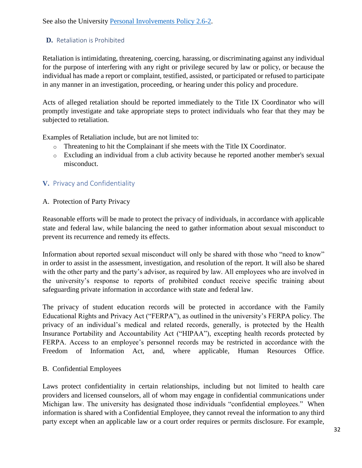# <span id="page-31-0"></span> **D.** Retaliation is Prohibited

Retaliation is intimidating, threatening, coercing, harassing, or discriminating against any individual for the purpose of interfering with any right or privilege secured by law or policy, or because the individual has made a report or complaint, testified, assisted, or participated or refused to participate in any manner in an investigation, proceeding, or hearing under this policy and procedure.

Acts of alleged retaliation should be reported immediately to the Title IX Coordinator who will promptly investigate and take appropriate steps to protect individuals who fear that they may be subjected to retaliation.

Examples of Retaliation include, but are not limited to:

- o Threatening to hit the Complainant if she meets with the Title IX Coordinator.
- o Excluding an individual from a club activity because he reported another member's sexual misconduct.

# <span id="page-31-1"></span>**V.** Privacy and Confidentiality

A. Protection of Party Privacy

Reasonable efforts will be made to protect the privacy of individuals, in accordance with applicable state and federal law, while balancing the need to gather information about sexual misconduct to prevent its recurrence and remedy its effects.

Information about reported sexual misconduct will only be shared with those who "need to know" in order to assist in the assessment, investigation, and resolution of the report. It will also be shared with the other party and the party's advisor, as required by law. All employees who are involved in the university's response to reports of prohibited conduct receive specific training about safeguarding private information in accordance with state and federal law.

The privacy of student education records will be protected in accordance with the Family Educational Rights and Privacy Act ("FERPA"), as outlined in the university's FERPA policy. The privacy of an individual's medical and related records, generally, is protected by the Health Insurance Portability and Accountability Act ("HIPAA"), excepting health records protected by FERPA. Access to an employee's personnel records may be restricted in accordance with the Freedom of Information Act, and, where applicable, Human Resources Office.

# B. Confidential Employees

Laws protect confidentiality in certain relationships, including but not limited to health care providers and licensed counselors, all of whom may engage in confidential communications under Michigan law. The university has designated those individuals "confidential employees." When information is shared with a Confidential Employee, they cannot reveal the information to any third party except when an applicable law or a court order requires or permits disclosure. For example,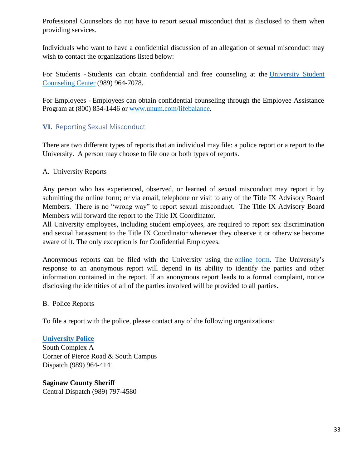Professional Counselors do not have to report sexual misconduct that is disclosed to them when providing services.

Individuals who want to have a confidential discussion of an allegation of sexual misconduct may wish to contact the organizations listed below:

For Students - Students can obtain confidential and free counseling at the [University Student](https://www.svsu.edu/studentcounselingcenter/)  [Counseling Center](https://www.svsu.edu/studentcounselingcenter/) (989) 964-7078.

For Employees - Employees can obtain confidential counseling through the Employee Assistance Program at (800) 854-1446 or [www.unum.com/lifebalance.](http://www.unum.com/lifebalance)

## <span id="page-32-0"></span>**VI.** Reporting Sexual Misconduct

There are two different types of reports that an individual may file: a police report or a report to the University. A person may choose to file one or both types of reports.

#### A. University Reports

Any person who has experienced, observed, or learned of sexual misconduct may report it by submitting the online form; or via email, telephone or visit to any of the Title IX Advisory Board Members. There is no "wrong way" to report sexual misconduct. The Title IX Advisory Board Members will forward the report to the Title IX Coordinator.

All University employees, including student employees, are required to report sex discrimination and sexual harassment to the Title IX Coordinator whenever they observe it or otherwise become aware of it. The only exception is for Confidential Employees.

Anonymous reports can be filed with the University using the [online form.](https://cm.maxient.com/reportingform.php?SaginawValleyStateUniv&layout_id=20) The University's response to an anonymous report will depend in its ability to identify the parties and other information contained in the report. If an anonymous report leads to a formal complaint, notice disclosing the identities of all of the parties involved will be provided to all parties.

#### B. Police Reports

To file a report with the police, please contact any of the following organizations:

**[University Police](https://www.svsu.edu/universitypolice/)** South Complex A Corner of Pierce Road & South Campus Dispatch (989) 964-4141

**Saginaw County Sheriff** Central Dispatch (989) 797-4580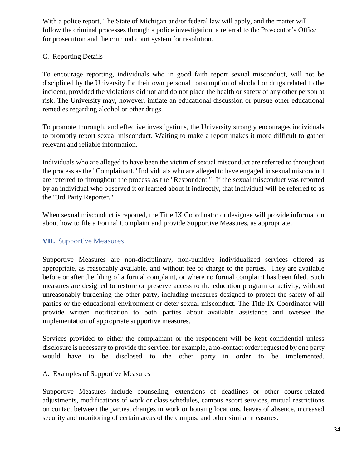With a police report, The State of Michigan and/or federal law will apply, and the matter will follow the criminal processes through a police investigation, a referral to the Prosecutor's Office for prosecution and the criminal court system for resolution.

## C. Reporting Details

To encourage reporting, individuals who in good faith report sexual misconduct, will not be disciplined by the University for their own personal consumption of alcohol or drugs related to the incident, provided the violations did not and do not place the health or safety of any other person at risk. The University may, however, initiate an educational discussion or pursue other educational remedies regarding alcohol or other drugs.

To promote thorough, and effective investigations, the University strongly encourages individuals to promptly report sexual misconduct. Waiting to make a report makes it more difficult to gather relevant and reliable information.

Individuals who are alleged to have been the victim of sexual misconduct are referred to throughout the process as the "Complainant." Individuals who are alleged to have engaged in sexual misconduct are referred to throughout the process as the "Respondent." If the sexual misconduct was reported by an individual who observed it or learned about it indirectly, that individual will be referred to as the "3rd Party Reporter."

When sexual misconduct is reported, the Title IX Coordinator or designee will provide information about how to file a Formal Complaint and provide Supportive Measures, as appropriate.

# <span id="page-33-0"></span>**VII.** Supportive Measures

Supportive Measures are non-disciplinary, non-punitive individualized services offered as appropriate, as reasonably available, and without fee or charge to the parties. They are available before or after the filing of a formal complaint, or where no formal complaint has been filed. Such measures are designed to restore or preserve access to the education program or activity, without unreasonably burdening the other party, including measures designed to protect the safety of all parties or the educational environment or deter sexual misconduct. The Title IX Coordinator will provide written notification to both parties about available assistance and oversee the implementation of appropriate supportive measures.

Services provided to either the complainant or the respondent will be kept confidential unless disclosure is necessary to provide the service; for example, a no-contact order requested by one party would have to be disclosed to the other party in order to be implemented.

## A. Examples of Supportive Measures

Supportive Measures include counseling, extensions of deadlines or other course-related adjustments, modifications of work or class schedules, campus escort services, mutual restrictions on contact between the parties, changes in work or housing locations, leaves of absence, increased security and monitoring of certain areas of the campus, and other similar measures.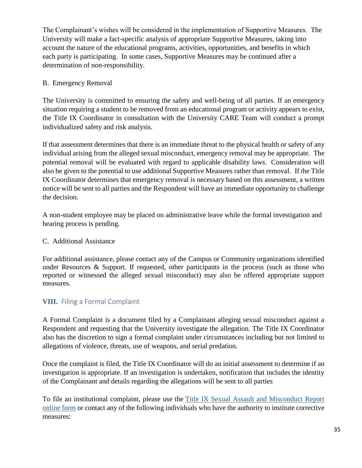The Complainant's wishes will be considered in the implementation of Supportive Measures. The University will make a fact-specific analysis of appropriate Supportive Measures, taking into account the nature of the educational programs, activities, opportunities, and benefits in which each party is participating. In some cases, Supportive Measures may be continued after a determination of non-responsibility.

## B. Emergency Removal

The University is committed to ensuring the safety and well-being of all parties. If an emergency situation requiring a student to be removed from an educational program or activity appears to exist, the Title IX Coordinator in consultation with the University CARE Team will conduct a prompt individualized safety and risk analysis.

If that assessment determines that there is an immediate threat to the physical health or safety of any individual arising from the alleged sexual misconduct, emergency removal may be appropriate. The potential removal will be evaluated with regard to applicable disability laws. Consideration will also be given to the potential to use additional Supportive Measures rather than removal. If the Title IX Coordinator determines that emergency removal is necessary based on this assessment, a written notice will be sent to all parties and the Respondent will have an immediate opportunity to challenge the decision.

A non-student employee may be placed on administrative leave while the formal investigation and hearing process is pending.

## C. Additional Assistance

For additional assistance, please contact any of the Campus or Community organizations identified under Resources & Support. If requested, other participants in the process (such as those who reported or witnessed the alleged sexual misconduct) may also be offered appropriate support measures.

# <span id="page-34-0"></span>**VIII.** Filing a Formal Complaint

A Formal Complaint is a document filed by a Complainant alleging sexual misconduct against a Respondent and requesting that the University investigate the allegation. The Title IX Coordinator also has the discretion to sign a formal complaint under circumstances including but not limited to allegations of violence, threats, use of weapons, and serial predation.

Once the complaint is filed, the Title IX Coordinator will do an initial assessment to determine if an investigation is appropriate. If an investigation is undertaken, notification that includes the identity of the Complainant and details regarding the allegations will be sent to all parties

To file an institutional complaint, please use the [Title IX Sexual Assault and Misconduct Report](https://cm.maxient.com/reportingform.php?SaginawValleyStateUniv&layout_id=20)  [online form](https://cm.maxient.com/reportingform.php?SaginawValleyStateUniv&layout_id=20) or contact any of the following individuals who have the authority to institute corrective measures: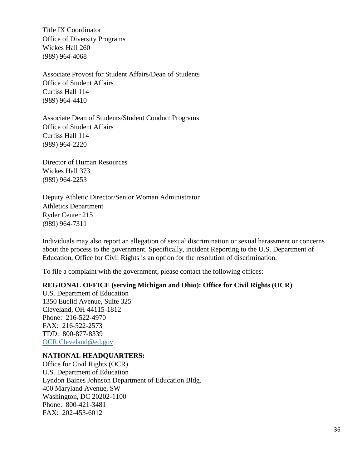Title IX Coordinator Office of Diversity Programs Wickes Hall 260 (989) 964-4068

Associate Provost for Student Affairs/Dean of Students Office of Student Affairs Curtiss Hall 114 (989) 964-4410

Associate Dean of Students/Student Conduct Programs Office of Student Affairs Curtiss Hall 114 (989) 964-2220

Director of Human Resources Wickes Hall 373 (989) 964-2253

Deputy Athletic Director/Senior Woman Administrator Athletics Department Ryder Center 215 (989) 964-7311

Individuals may also report an allegation of sexual discrimination or sexual harassment or concerns about the process to the government. Specifically, incident Reporting to the U.S. Department of Education, Office for Civil Rights is an option for the resolution of discrimination.

To file a complaint with the government, please contact the following offices:

#### **REGIONAL OFFICE (serving Michigan and Ohio): Office for Civil Rights (OCR)**

U.S. Department of Education 1350 Euclid Avenue, Suite 325 Cleveland, OH 44115-1812 Phone: 216-522-4970 FAX: 216-522-2573 TDD: 800-877-8339 [OCR.Cleveland@ed.gov](mailto:OCR.Cleveland@ed.gov)

## **NATIONAL HEADQUARTERS:**

Office for Civil Rights (OCR) U.S. Department of Education Lyndon Baines Johnson Department of Education Bldg. 400 Maryland Avenue, SW Washington, DC 20202-1100 Phone: 800-421-3481 FAX: 202-453-6012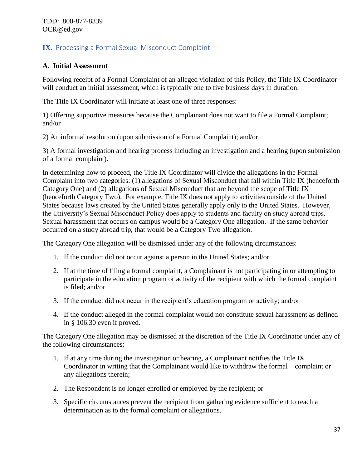# <span id="page-36-0"></span>**IX.** Processing a Formal Sexual Misconduct Complaint

## **A. Initial Assessment**

Following receipt of a Formal Complaint of an alleged violation of this Policy, the Title IX Coordinator will conduct an initial assessment, which is typically one to five business days in duration.

The Title IX Coordinator will initiate at least one of three responses:

1) Offering supportive measures because the Complainant does not want to file a Formal Complaint; and/or

2) An informal resolution (upon submission of a Formal Complaint); and/or

3) A formal investigation and hearing process including an investigation and a hearing (upon submission of a formal complaint).

In determining how to proceed, the Title IX Coordinator will divide the allegations in the Formal Complaint into two categories: (1) allegations of Sexual Misconduct that fall within Title IX (henceforth Category One) and (2) allegations of Sexual Misconduct that are beyond the scope of Title IX (henceforth Category Two). For example, Title IX does not apply to activities outside of the United States because laws created by the United States generally apply only to the United States. However, the University's Sexual Misconduct Policy does apply to students and faculty on study abroad trips. Sexual harassment that occurs on campus would be a Category One allegation. If the same behavior occurred on a study abroad trip, that would be a Category Two allegation.

The Category One allegation will be dismissed under any of the following circumstances:

- 1. If the conduct did not occur against a person in the United States; and/or
- 2. If at the time of filing a formal complaint, a Complainant is not participating in or attempting to participate in the education program or activity of the recipient with which the formal complaint is filed; and/or
- 3. If the conduct did not occur in the recipient's education program or activity; and/or
- 4. If the conduct alleged in the formal complaint would not constitute sexual harassment as defined in § 106.30 even if proved.

The Category One allegation may be dismissed at the discretion of the Title IX Coordinator under any of the following circumstances:

- 1. If at any time during the investigation or hearing, a Complainant notifies the Title IX Coordinator in writing that the Complainant would like to withdraw the formal complaint or any allegations therein;
- 2. The Respondent is no longer enrolled or employed by the recipient; or
- 3. Specific circumstances prevent the recipient from gathering evidence sufficient to reach a determination as to the formal complaint or allegations.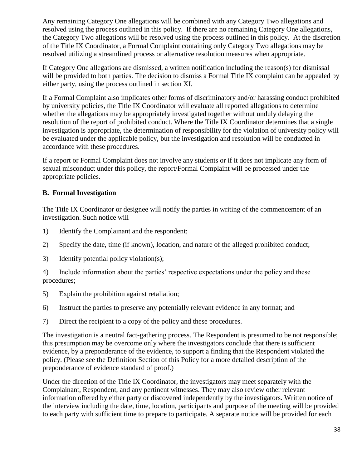Any remaining Category One allegations will be combined with any Category Two allegations and resolved using the process outlined in this policy. If there are no remaining Category One allegations, the Category Two allegations will be resolved using the process outlined in this policy. At the discretion of the Title IX Coordinator, a Formal Complaint containing only Category Two allegations may be resolved utilizing a streamlined process or alternative resolution measures when appropriate.

If Category One allegations are dismissed, a written notification including the reason(s) for dismissal will be provided to both parties. The decision to dismiss a Formal Title IX complaint can be appealed by either party, using the process outlined in section XI.

If a Formal Complaint also implicates other forms of discriminatory and/or harassing conduct prohibited by university policies, the Title IX Coordinator will evaluate all reported allegations to determine whether the allegations may be appropriately investigated together without unduly delaying the resolution of the report of prohibited conduct. Where the Title IX Coordinator determines that a single investigation is appropriate, the determination of responsibility for the violation of university policy will be evaluated under the applicable policy, but the investigation and resolution will be conducted in accordance with these procedures.

If a report or Formal Complaint does not involve any students or if it does not implicate any form of sexual misconduct under this policy, the report/Formal Complaint will be processed under the appropriate policies.

## **B. Formal Investigation**

The Title IX Coordinator or designee will notify the parties in writing of the commencement of an investigation. Such notice will

- 1) Identify the Complainant and the respondent;
- 2) Specify the date, time (if known), location, and nature of the alleged prohibited conduct;
- 3) Identify potential policy violation(s);

4) Include information about the parties' respective expectations under the policy and these procedures;

- 5) Explain the prohibition against retaliation;
- 6) Instruct the parties to preserve any potentially relevant evidence in any format; and
- 7) Direct the recipient to a copy of the policy and these procedures.

The investigation is a neutral fact-gathering process. The Respondent is presumed to be not responsible; this presumption may be overcome only where the investigators conclude that there is sufficient evidence, by a preponderance of the evidence, to support a finding that the Respondent violated the policy. (Please see the Definition Section of this Policy for a more detailed description of the preponderance of evidence standard of proof.)

Under the direction of the Title IX Coordinator, the investigators may meet separately with the Complainant, Respondent, and any pertinent witnesses. They may also review other relevant information offered by either party or discovered independently by the investigators. Written notice of the interview including the date, time, location, participants and purpose of the meeting will be provided to each party with sufficient time to prepare to participate. A separate notice will be provided for each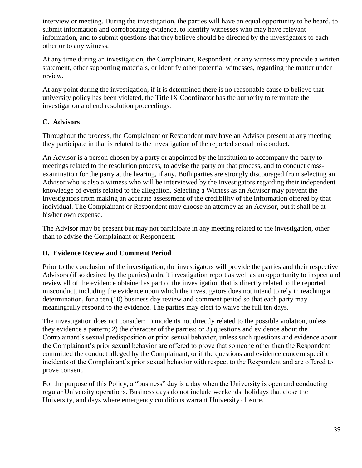interview or meeting. During the investigation, the parties will have an equal opportunity to be heard, to submit information and corroborating evidence, to identify witnesses who may have relevant information, and to submit questions that they believe should be directed by the investigators to each other or to any witness.

At any time during an investigation, the Complainant, Respondent, or any witness may provide a written statement, other supporting materials, or identify other potential witnesses, regarding the matter under review.

At any point during the investigation, if it is determined there is no reasonable cause to believe that university policy has been violated, the Title IX Coordinator has the authority to terminate the investigation and end resolution proceedings.

# **C. Advisors**

Throughout the process, the Complainant or Respondent may have an Advisor present at any meeting they participate in that is related to the investigation of the reported sexual misconduct.

An Advisor is a person chosen by a party or appointed by the institution to accompany the party to meetings related to the resolution process, to advise the party on that process, and to conduct crossexamination for the party at the hearing, if any. Both parties are strongly discouraged from selecting an Advisor who is also a witness who will be interviewed by the Investigators regarding their independent knowledge of events related to the allegation. Selecting a Witness as an Advisor may prevent the Investigators from making an accurate assessment of the credibility of the information offered by that individual. The Complainant or Respondent may choose an attorney as an Advisor, but it shall be at his/her own expense.

The Advisor may be present but may not participate in any meeting related to the investigation, other than to advise the Complainant or Respondent.

# **D. Evidence Review and Comment Period**

Prior to the conclusion of the investigation, the investigators will provide the parties and their respective Advisors (if so desired by the parties) a draft investigation report as well as an opportunity to inspect and review all of the evidence obtained as part of the investigation that is directly related to the reported misconduct, including the evidence upon which the investigators does not intend to rely in reaching a determination, for a ten (10) business day review and comment period so that each party may meaningfully respond to the evidence. The parties may elect to waive the full ten days.

The investigation does not consider: 1) incidents not directly related to the possible violation, unless they evidence a pattern; 2) the character of the parties; or 3) questions and evidence about the Complainant's sexual predisposition or prior sexual behavior, unless such questions and evidence about the Complainant's prior sexual behavior are offered to prove that someone other than the Respondent committed the conduct alleged by the Complainant, or if the questions and evidence concern specific incidents of the Complainant's prior sexual behavior with respect to the Respondent and are offered to prove consent.

For the purpose of this Policy, a "business" day is a day when the University is open and conducting regular University operations. Business days do not include weekends, holidays that close the University, and days where emergency conditions warrant University closure.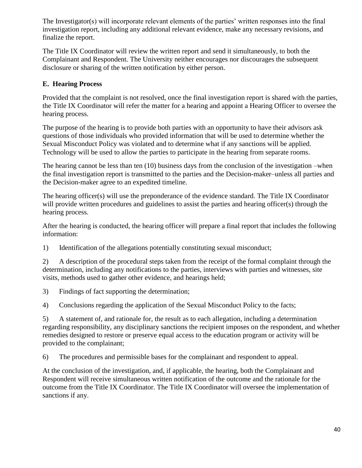The Investigator(s) will incorporate relevant elements of the parties' written responses into the final investigation report, including any additional relevant evidence, make any necessary revisions, and finalize the report.

The Title IX Coordinator will review the written report and send it simultaneously, to both the Complainant and Respondent. The University neither encourages nor discourages the subsequent disclosure or sharing of the written notification by either person.

# **E. Hearing Process**

Provided that the complaint is not resolved, once the final investigation report is shared with the parties, the Title IX Coordinator will refer the matter for a hearing and appoint a Hearing Officer to oversee the hearing process.

The purpose of the hearing is to provide both parties with an opportunity to have their advisors ask questions of those individuals who provided information that will be used to determine whether the Sexual Misconduct Policy was violated and to determine what if any sanctions will be applied. Technology will be used to allow the parties to participate in the hearing from separate rooms.

The hearing cannot be less than ten (10) business days from the conclusion of the investigation –when the final investigation report is transmitted to the parties and the Decision-maker–unless all parties and the Decision-maker agree to an expedited timeline.

The hearing officer(s) will use the preponderance of the evidence standard. The Title IX Coordinator will provide written procedures and guidelines to assist the parties and hearing officer(s) through the hearing process.

After the hearing is conducted, the hearing officer will prepare a final report that includes the following information:

1) Identification of the allegations potentially constituting sexual misconduct;

2) A description of the procedural steps taken from the receipt of the formal complaint through the determination, including any notifications to the parties, interviews with parties and witnesses, site visits, methods used to gather other evidence, and hearings held;

3) Findings of fact supporting the determination;

4) Conclusions regarding the application of the Sexual Misconduct Policy to the facts;

5) A statement of, and rationale for, the result as to each allegation, including a determination regarding responsibility, any disciplinary sanctions the recipient imposes on the respondent, and whether remedies designed to restore or preserve equal access to the education program or activity will be provided to the complainant;

6) The procedures and permissible bases for the complainant and respondent to appeal.

At the conclusion of the investigation, and, if applicable, the hearing, both the Complainant and Respondent will receive simultaneous written notification of the outcome and the rationale for the outcome from the Title IX Coordinator. The Title IX Coordinator will oversee the implementation of sanctions if any.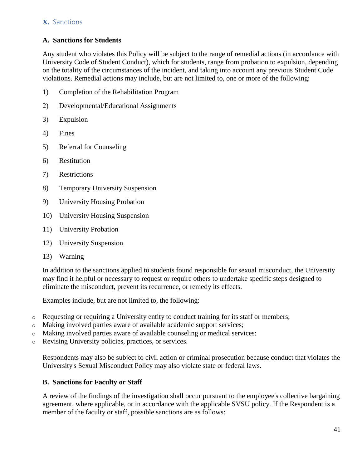## <span id="page-40-0"></span>**X.** Sanctions

## **A. Sanctions for Students**

Any student who violates this Policy will be subject to the range of remedial actions (in accordance with University Code of Student Conduct), which for students, range from probation to expulsion, depending on the totality of the circumstances of the incident, and taking into account any previous Student Code violations. Remedial actions may include, but are not limited to, one or more of the following:

- 1) Completion of the Rehabilitation Program
- 2) Developmental/Educational Assignments
- 3) Expulsion
- 4) Fines
- 5) Referral for Counseling
- 6) Restitution
- 7) Restrictions
- 8) Temporary University Suspension
- 9) University Housing Probation
- 10) University Housing Suspension
- 11) University Probation
- 12) University Suspension
- 13) Warning

In addition to the sanctions applied to students found responsible for sexual misconduct, the University may find it helpful or necessary to request or require others to undertake specific steps designed to eliminate the misconduct, prevent its recurrence, or remedy its effects.

Examples include, but are not limited to, the following:

- $\circ$  Requesting or requiring a University entity to conduct training for its staff or members;
- o Making involved parties aware of available academic support services;
- o Making involved parties aware of available counseling or medical services;
- o Revising University policies, practices, or services.

Respondents may also be subject to civil action or criminal prosecution because conduct that violates the University's Sexual Misconduct Policy may also violate state or federal laws.

## **B. Sanctions for Faculty or Staff**

A review of the findings of the investigation shall occur pursuant to the employee's collective bargaining agreement, where applicable, or in accordance with the applicable SVSU policy. If the Respondent is a member of the faculty or staff, possible sanctions are as follows: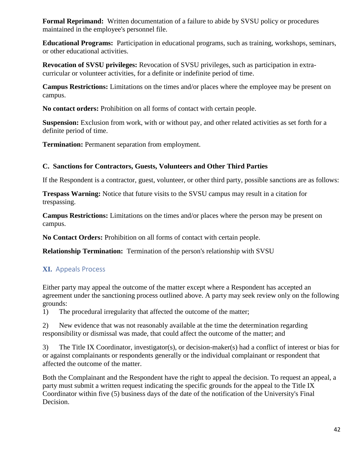**Formal Reprimand:** Written documentation of a failure to abide by SVSU policy or procedures maintained in the employee's personnel file.

**Educational Programs:** Participation in educational programs, such as training, workshops, seminars, or other educational activities.

**Revocation of SVSU privileges:** Revocation of SVSU privileges, such as participation in extracurricular or volunteer activities, for a definite or indefinite period of time.

**Campus Restrictions:** Limitations on the times and/or places where the employee may be present on campus.

**No contact orders:** Prohibition on all forms of contact with certain people.

**Suspension:** Exclusion from work, with or without pay, and other related activities as set forth for a definite period of time.

**Termination:** Permanent separation from employment.

# **C. Sanctions for Contractors, Guests, Volunteers and Other Third Parties**

If the Respondent is a contractor, guest, volunteer, or other third party, possible sanctions are as follows:

**Trespass Warning:** Notice that future visits to the SVSU campus may result in a citation for trespassing.

**Campus Restrictions:** Limitations on the times and/or places where the person may be present on campus.

**No Contact Orders:** Prohibition on all forms of contact with certain people.

**Relationship Termination:** Termination of the person's relationship with SVSU

# <span id="page-41-0"></span>**XI.** Appeals Process

Either party may appeal the outcome of the matter except where a Respondent has accepted an agreement under the sanctioning process outlined above. A party may seek review only on the following grounds:

1) The procedural irregularity that affected the outcome of the matter;

2) New evidence that was not reasonably available at the time the determination regarding responsibility or dismissal was made, that could affect the outcome of the matter; and

3) The Title IX Coordinator, investigator(s), or decision-maker(s) had a conflict of interest or bias for or against complainants or respondents generally or the individual complainant or respondent that affected the outcome of the matter.

Both the Complainant and the Respondent have the right to appeal the decision. To request an appeal, a party must submit a written request indicating the specific grounds for the appeal to the Title IX Coordinator within five (5) business days of the date of the notification of the University's Final Decision.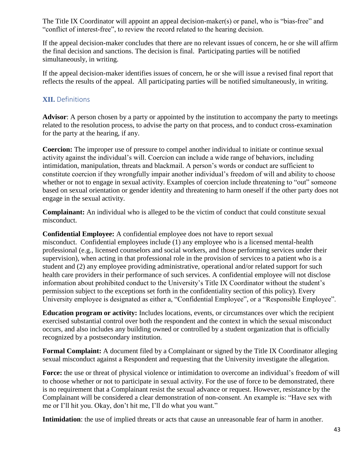The Title IX Coordinator will appoint an appeal decision-maker(s) or panel, who is "bias-free" and "conflict of interest-free", to review the record related to the hearing decision.

If the appeal decision-maker concludes that there are no relevant issues of concern, he or she will affirm the final decision and sanctions. The decision is final. Participating parties will be notified simultaneously, in writing.

If the appeal decision-maker identifies issues of concern, he or she will issue a revised final report that reflects the results of the appeal. All participating parties will be notified simultaneously, in writing.

## <span id="page-42-0"></span>**XII.** Definitions

**Advisor**: A person chosen by a party or appointed by the institution to accompany the party to meetings related to the resolution process, to advise the party on that process, and to conduct cross-examination for the party at the hearing, if any.

**Coercion:** The improper use of pressure to compel another individual to initiate or continue sexual activity against the individual's will. Coercion can include a wide range of behaviors, including intimidation, manipulation, threats and blackmail. A person's words or conduct are sufficient to constitute coercion if they wrongfully impair another individual's freedom of will and ability to choose whether or not to engage in sexual activity. Examples of coercion include threatening to "out" someone based on sexual orientation or gender identity and threatening to harm oneself if the other party does not engage in the sexual activity.

**Complainant:** An individual who is alleged to be the victim of conduct that could constitute sexual misconduct.

**Confidential Employee:** A confidential employee does not have to report sexual misconduct. Confidential employees include (1) any employee who is a licensed mental-health professional (e.g., licensed counselors and social workers, and those performing services under their supervision), when acting in that professional role in the provision of services to a patient who is a student and (2) any employee providing administrative, operational and/or related support for such health care providers in their performance of such services. A confidential employee will not disclose information about prohibited conduct to the University's Title IX Coordinator without the student's permission subject to the exceptions set forth in the confidentiality section of this policy). Every University employee is designated as either a, "Confidential Employee", or a "Responsible Employee".

**Education program or activity:** Includes locations, events, or circumstances over which the recipient exercised substantial control over both the respondent and the context in which the sexual misconduct occurs, and also includes any building owned or controlled by a student organization that is officially recognized by a postsecondary institution.

**Formal Complaint:** A document filed by a Complainant or signed by the Title IX Coordinator alleging sexual misconduct against a Respondent and requesting that the University investigate the allegation.

**Force:** the use or threat of physical violence or intimidation to overcome an individual's freedom of will to choose whether or not to participate in sexual activity. For the use of force to be demonstrated, there is no requirement that a Complainant resist the sexual advance or request. However, resistance by the Complainant will be considered a clear demonstration of non-consent. An example is: "Have sex with me or I'll hit you. Okay, don't hit me, I'll do what you want."

**Intimidation**: the use of implied threats or acts that cause an unreasonable fear of harm in another.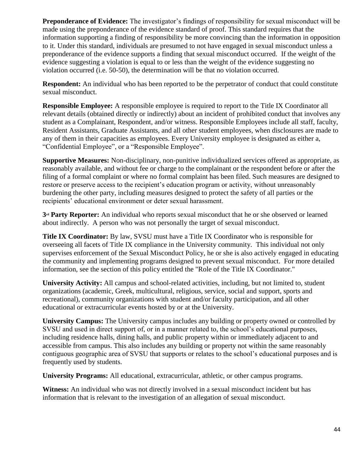**Preponderance of Evidence:** The investigator's findings of responsibility for sexual misconduct will be made using the preponderance of the evidence standard of proof. This standard requires that the information supporting a finding of responsibility be more convincing than the information in opposition to it. Under this standard, individuals are presumed to not have engaged in sexual misconduct unless a preponderance of the evidence supports a finding that sexual misconduct occurred. If the weight of the evidence suggesting a violation is equal to or less than the weight of the evidence suggesting no violation occurred (i.e. 50-50), the determination will be that no violation occurred.

**Respondent:** An individual who has been reported to be the perpetrator of conduct that could constitute sexual misconduct.

**Responsible Employee:** A responsible employee is required to report to the Title IX Coordinator all relevant details (obtained directly or indirectly) about an incident of prohibited conduct that involves any student as a Complainant, Respondent, and/or witness. Responsible Employees include all staff, faculty, Resident Assistants, Graduate Assistants, and all other student employees, when disclosures are made to any of them in their capacities as employees. Every University employee is designated as either a, "Confidential Employee", or a "Responsible Employee".

**Supportive Measures:** Non-disciplinary, non-punitive individualized services offered as appropriate, as reasonably available, and without fee or charge to the complainant or the respondent before or after the filing of a formal complaint or where no formal complaint has been filed. Such measures are designed to restore or preserve access to the recipient's education program or activity, without unreasonably burdening the other party, including measures designed to protect the safety of all parties or the recipients' educational environment or deter sexual harassment.

**3rd Party Reporter:** An individual who reports sexual misconduct that he or she observed or learned about indirectly. A person who was not personally the target of sexual misconduct.

**Title IX Coordinator:** By law, SVSU must have a Title IX Coordinator who is responsible for overseeing all facets of Title IX compliance in the University community. This individual not only supervises enforcement of the Sexual Misconduct Policy, he or she is also actively engaged in educating the community and implementing programs designed to prevent sexual misconduct. For more detailed information, see the section of this policy entitled the "Role of the Title IX Coordinator."

**University Activity:** All campus and school-related activities, including, but not limited to, student organizations (academic, Greek, multicultural, religious, service, social and support, sports and recreational), community organizations with student and/or faculty participation, and all other educational or extracurricular events hosted by or at the University.

**University Campus:** The University campus includes any building or property owned or controlled by SVSU and used in direct support of, or in a manner related to, the school's educational purposes, including residence halls, dining halls, and public property within or immediately adjacent to and accessible from campus. This also includes any building or property not within the same reasonably contiguous geographic area of SVSU that supports or relates to the school's educational purposes and is frequently used by students.

**University Programs:** All educational, extracurricular, athletic, or other campus programs.

**Witness:** An individual who was not directly involved in a sexual misconduct incident but has information that is relevant to the investigation of an allegation of sexual misconduct.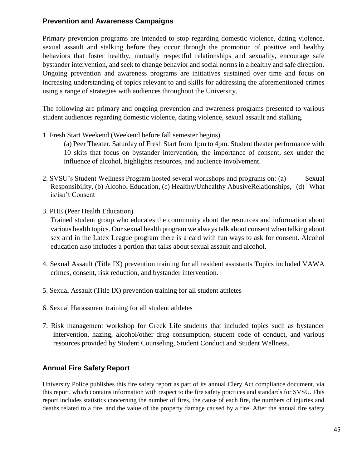## <span id="page-44-0"></span>**Prevention and Awareness Campaigns**

Primary prevention programs are intended to stop regarding domestic violence, dating violence, sexual assault and stalking before they occur through the promotion of positive and healthy behaviors that foster healthy, mutually respectful relationships and sexuality, encourage safe bystander intervention, and seek to change behavior and social norms in a healthy and safe direction. Ongoing prevention and awareness programs are initiatives sustained over time and focus on increasing understanding of topics relevant to and skills for addressing the aforementioned crimes using a range of strategies with audiences throughout the University.

The following are primary and ongoing prevention and awareness programs presented to various student audiences regarding domestic violence, dating violence, sexual assault and stalking.

1. Fresh Start Weekend (Weekend before fall semester begins)

(a) Peer Theater. Saturday of Fresh Start from 1pm to 4pm. Student theater performance with 10 skits that focus on bystander intervention, the importance of consent, sex under the influence of alcohol, highlights resources, and audience involvement.

- 2. SVSU's Student Wellness Program hosted several workshops and programs on: (a) Sexual Responsibility, (b) Alcohol Education, (c) Healthy/Unhealthy AbusiveRelationships, (d) What is/isn't Consent
- 3. PHE (Peer Health Education)

Trained student group who educates the community about the resources and information about various health topics. Our sexual health program we always talk about consent when talking about sex and in the Latex League program there is a card with fun ways to ask for consent. Alcohol education also includes a portion that talks about sexual assault and alcohol.

- 4. Sexual Assault (Title IX) prevention training for all resident assistants Topics included VAWA crimes, consent, risk reduction, and bystander intervention.
- 5. Sexual Assault (Title IX) prevention training for all student athletes
- 6. Sexual Harassment training for all student athletes
- 7. Risk management workshop for Greek Life students that included topics such as bystander intervention, hazing, alcohol/other drug consumption, student code of conduct, and various resources provided by Student Counseling, Student Conduct and Student Wellness.

# <span id="page-44-1"></span>**Annual Fire Safety Report**

University Police publishes this fire safety report as part of its annual Clery Act compliance document, via this report, which contains information with respect to the fire safety practices and standards for SVSU. This report includes statistics concerning the number of fires, the cause of each fire, the numbers of injuries and deaths related to a fire, and the value of the property damage caused by a fire. After the annual fire safety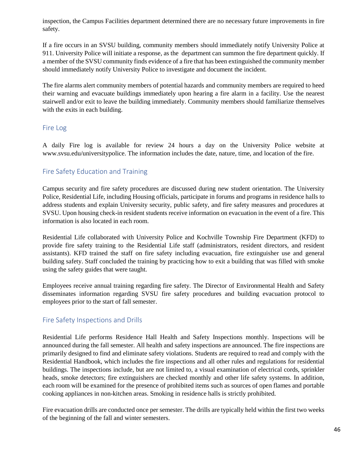inspection, the Campus Facilities department determined there are no necessary future improvements in fire safety.

If a fire occurs in an SVSU building, community members should immediately notify University Police at 911. University Police will initiate a response, as the department can summon the fire department quickly. If a member of the SVSU community finds evidence of a fire that has been extinguished the community member should immediately notify University Police to investigate and document the incident.

The fire alarms alert community members of potential hazards and community members are required to heed their warning and evacuate buildings immediately upon hearing a fire alarm in a facility. Use the nearest stairwell and/or exit to leave the building immediately. Community members should familiarize themselves with the exits in each building.

## <span id="page-45-0"></span>Fire Log

A daily Fire log is available for review 24 hours a day on the University Police website at www.svsu.edu/universitypolice. The information includes the date, nature, time, and location of the fire.

## <span id="page-45-1"></span>Fire Safety Education and Training

Campus security and fire safety procedures are discussed during new student orientation. The University Police, Residential Life, including Housing officials, participate in forums and programs in residence halls to address students and explain University security, public safety, and fire safety measures and procedures at SVSU. Upon housing check-in resident students receive information on evacuation in the event of a fire. This information is also located in each room.

Residential Life collaborated with University Police and Kochville Township Fire Department (KFD) to provide fire safety training to the Residential Life staff (administrators, resident directors, and resident assistants). KFD trained the staff on fire safety including evacuation, fire extinguisher use and general building safety. Staff concluded the training by practicing how to exit a building that was filled with smoke using the safety guides that were taught.

Employees receive annual training regarding fire safety. The Director of Environmental Health and Safety disseminates information regarding SVSU fire safety procedures and building evacuation protocol to employees prior to the start of fall semester.

## <span id="page-45-2"></span>Fire Safety Inspections and Drills

Residential Life performs Residence Hall Health and Safety Inspections monthly. Inspections will be announced during the fall semester. All health and safety inspections are announced. The fire inspections are primarily designed to find and eliminate safety violations. Students are required to read and comply with the Residential Handbook, which includes the fire inspections and all other rules and regulations for residential buildings. The inspections include, but are not limited to, a visual examination of electrical cords, sprinkler heads, smoke detectors; fire extinguishers are checked monthly and other life safety systems. In addition, each room will be examined for the presence of prohibited items such as sources of open flames and portable cooking appliances in non-kitchen areas. Smoking in residence halls is strictly prohibited.

Fire evacuation drills are conducted once per semester. The drills are typically held within the first two weeks of the beginning of the fall and winter semesters.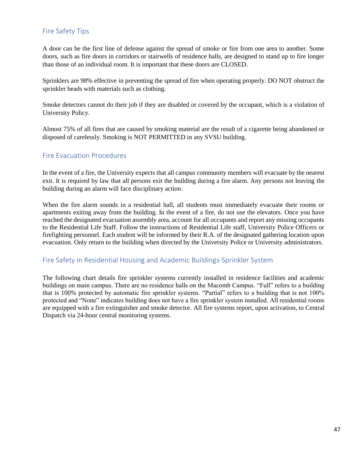## <span id="page-46-0"></span>Fire Safety Tips

A door can be the first line of defense against the spread of smoke or fire from one area to another. Some doors, such as fire doors in corridors or stairwells of residence halls, are designed to stand up to fire longer than those of an individual room. It is important that these doors are CLOSED.

Sprinklers are 98% effective in preventing the spread of fire when operating properly. DO NOT obstruct the sprinkler heads with materials such as clothing.

Smoke detectors cannot do their job if they are disabled or covered by the occupant, which is a violation of University Policy.

Almost 75% of all fires that are caused by smoking material are the result of a cigarette being abandoned or disposed of carelessly. Smoking is NOT PERMITTED in any SVSU building.

#### <span id="page-46-1"></span>Fire Evacuation Procedures

In the event of a fire, the University expects that all campus community members will evacuate by the nearest exit. It is required by law that all persons exit the building during a fire alarm. Any persons not leaving the building during an alarm will face disciplinary action.

When the fire alarm sounds in a residential hall, all students must immediately evacuate their rooms or apartments exiting away from the building. In the event of a fire, do not use the elevators. Once you have reached the designated evacuation assembly area, account for all occupants and report any missing occupants to the Residential Life Staff. Follow the instructions of Residential Life staff, University Police Officers or firefighting personnel. Each student will be informed by their R.A. of the designated gathering location upon evacuation. Only return to the building when directed by the University Police or University administrators.

#### <span id="page-46-2"></span>Fire Safety in Residential Housing and Academic Buildings-Sprinkler System

The following chart details fire sprinkler systems currently installed in residence facilities and academic buildings on main campus. There are no residence halls on the Macomb Campus. "Full" refers to a building that is 100% protected by automatic fire sprinkler systems. "Partial" refers to a building that is not 100% protected and "None" indicates building does not have a fire sprinkler system installed. All residential rooms are equipped with a fire extinguisher and smoke detector. All fire systems report, upon activation, to Central Dispatch via 24-hour central monitoring systems.